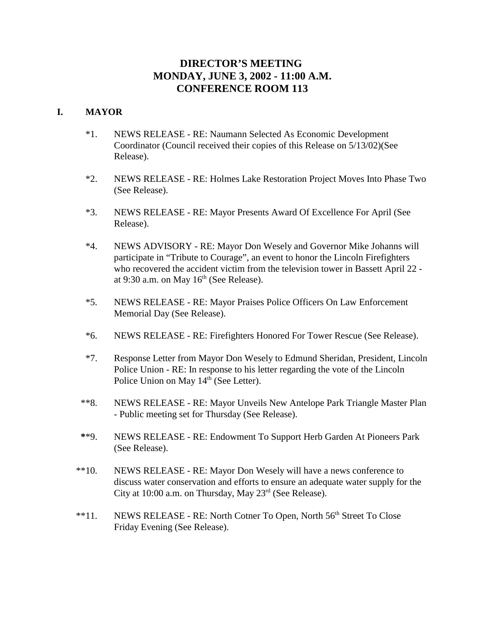# **DIRECTOR'S MEETING MONDAY, JUNE 3, 2002 - 11:00 A.M. CONFERENCE ROOM 113**

# **I. MAYOR**

- \*1. NEWS RELEASE RE: Naumann Selected As Economic Development Coordinator (Council received their copies of this Release on 5/13/02)(See Release).
- \*2. NEWS RELEASE RE: Holmes Lake Restoration Project Moves Into Phase Two (See Release).
- \*3. NEWS RELEASE RE: Mayor Presents Award Of Excellence For April (See Release).
- \*4. NEWS ADVISORY RE: Mayor Don Wesely and Governor Mike Johanns will participate in "Tribute to Courage", an event to honor the Lincoln Firefighters who recovered the accident victim from the television tower in Bassett April 22 at 9:30 a.m. on May  $16<sup>th</sup>$  (See Release).
- \*5. NEWS RELEASE RE: Mayor Praises Police Officers On Law Enforcement Memorial Day (See Release).
- \*6. NEWS RELEASE RE: Firefighters Honored For Tower Rescue (See Release).
- \*7. Response Letter from Mayor Don Wesely to Edmund Sheridan, President, Lincoln Police Union - RE: In response to his letter regarding the vote of the Lincoln Police Union on May 14<sup>th</sup> (See Letter).
- \*\*8. NEWS RELEASE RE: Mayor Unveils New Antelope Park Triangle Master Plan - Public meeting set for Thursday (See Release).
- **\***\*9. NEWS RELEASE RE: Endowment To Support Herb Garden At Pioneers Park (See Release).
- \*\*10. NEWS RELEASE RE: Mayor Don Wesely will have a news conference to discuss water conservation and efforts to ensure an adequate water supply for the City at 10:00 a.m. on Thursday, May  $23<sup>rd</sup>$  (See Release).
- \*\*11. NEWS RELEASE RE: North Cotner To Open, North 56<sup>th</sup> Street To Close Friday Evening (See Release).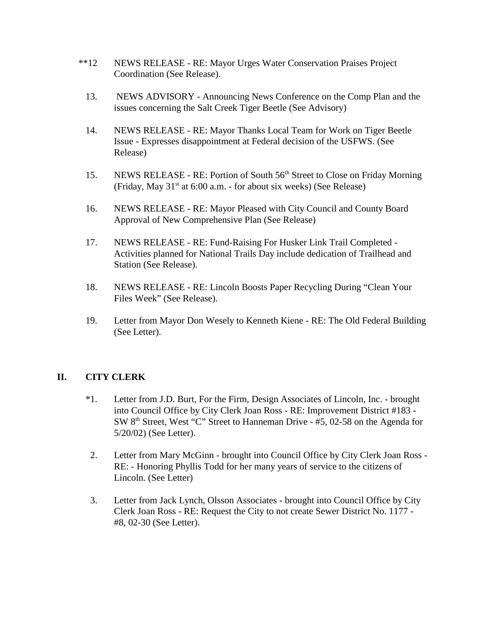- \*\*12 NEWS RELEASE RE: Mayor Urges Water Conservation Praises Project Coordination (See Release).
	- 13. NEWS ADVISORY Announcing News Conference on the Comp Plan and the issues concerning the Salt Creek Tiger Beetle (See Advisory)
	- 14. NEWS RELEASE RE: Mayor Thanks Local Team for Work on Tiger Beetle Issue - Expresses disappointment at Federal decision of the USFWS. (See Release)
	- 15. NEWS RELEASE RE: Portion of South 56<sup>th</sup> Street to Close on Friday Morning (Friday, May  $31<sup>st</sup>$  at 6:00 a.m. - for about six weeks) (See Release)
	- 16. NEWS RELEASE RE: Mayor Pleased with City Council and County Board Approval of New Comprehensive Plan (See Release)
	- 17. NEWS RELEASE RE: Fund-Raising For Husker Link Trail Completed Activities planned for National Trails Day include dedication of Trailhead and Station (See Release).
	- 18. NEWS RELEASE RE: Lincoln Boosts Paper Recycling During "Clean Your Files Week" (See Release).
	- 19. Letter from Mayor Don Wesely to Kenneth Kiene RE: The Old Federal Building (See Letter).

# **II. CITY CLERK**

- \*1. Letter from J.D. Burt, For the Firm, Design Associates of Lincoln, Inc. brought into Council Office by City Clerk Joan Ross - RE: Improvement District #183 - SW 8<sup>th</sup> Street, West "C" Street to Hanneman Drive - #5, 02-58 on the Agenda for 5/20/02) (See Letter).
- 2. Letter from Mary McGinn brought into Council Office by City Clerk Joan Ross RE: - Honoring Phyllis Todd for her many years of service to the citizens of Lincoln. (See Letter)
- 3. Letter from Jack Lynch, Olsson Associates brought into Council Office by City Clerk Joan Ross - RE: Request the City to not create Sewer District No. 1177 - #8, 02-30 (See Letter).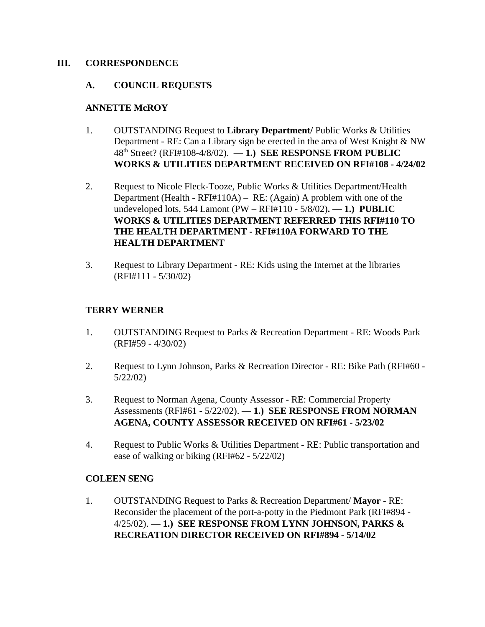# **III. CORRESPONDENCE**

# **A. COUNCIL REQUESTS**

# **ANNETTE McROY**

- 1. OUTSTANDING Request to **Library Department/** Public Works & Utilities Department - RE: Can a Library sign be erected in the area of West Knight & NW 48th Street? (RFI#108-4/8/02). — **1.) SEE RESPONSE FROM PUBLIC WORKS & UTILITIES DEPARTMENT RECEIVED ON RFI#108 - 4/24/02**
- 2. Request to Nicole Fleck-Tooze, Public Works & Utilities Department/Health Department (Health - RFI#110A) – RE: (Again) A problem with one of the undeveloped lots, 544 Lamont (PW – RFI#110 - 5/8/02)**. — 1.) PUBLIC WORKS & UTILITIES DEPARTMENT REFERRED THIS RFI#110 TO THE HEALTH DEPARTMENT - RFI#110A FORWARD TO THE HEALTH DEPARTMENT**
- 3. Request to Library Department RE: Kids using the Internet at the libraries (RFI#111 - 5/30/02)

# **TERRY WERNER**

- 1. OUTSTANDING Request to Parks & Recreation Department RE: Woods Park (RFI#59 - 4/30/02)
- 2. Request to Lynn Johnson, Parks & Recreation Director RE: Bike Path (RFI#60 5/22/02)
- 3. Request to Norman Agena, County Assessor RE: Commercial Property Assessments (RFI#61 - 5/22/02). — **1.) SEE RESPONSE FROM NORMAN AGENA, COUNTY ASSESSOR RECEIVED ON RFI#61 - 5/23/02**
- 4. Request to Public Works & Utilities Department RE: Public transportation and ease of walking or biking (RFI#62 - 5/22/02)

# **COLEEN SENG**

1. OUTSTANDING Request to Parks & Recreation Department/ **Mayor** - RE: Reconsider the placement of the port-a-potty in the Piedmont Park (RFI#894 - 4/25/02). — **1.) SEE RESPONSE FROM LYNN JOHNSON, PARKS & RECREATION DIRECTOR RECEIVED ON RFI#894 - 5/14/02**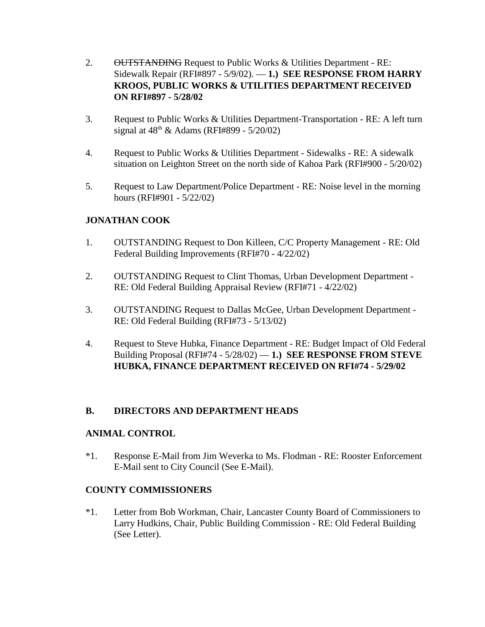- 2. OUTSTANDING Request to Public Works & Utilities Department RE: Sidewalk Repair (RFI#897 - 5/9/02). — **1.) SEE RESPONSE FROM HARRY KROOS, PUBLIC WORKS & UTILITIES DEPARTMENT RECEIVED ON RFI#897 - 5/28/02**
- 3. Request to Public Works & Utilities Department-Transportation RE: A left turn signal at  $48^{th}$  & Adams (RFI#899 -  $5/20/02$ )
- 4. Request to Public Works & Utilities Department Sidewalks RE: A sidewalk situation on Leighton Street on the north side of Kahoa Park (RFI#900 - 5/20/02)
- 5. Request to Law Department/Police Department RE: Noise level in the morning hours (RFI#901 - 5/22/02)

# **JONATHAN COOK**

- 1. OUTSTANDING Request to Don Killeen, C/C Property Management RE: Old Federal Building Improvements (RFI#70 - 4/22/02)
- 2. OUTSTANDING Request to Clint Thomas, Urban Development Department RE: Old Federal Building Appraisal Review (RFI#71 - 4/22/02)
- 3. OUTSTANDING Request to Dallas McGee, Urban Development Department RE: Old Federal Building (RFI#73 - 5/13/02)
- 4. Request to Steve Hubka, Finance Department RE: Budget Impact of Old Federal Building Proposal (RFI#74 - 5/28/02) — **1.) SEE RESPONSE FROM STEVE HUBKA, FINANCE DEPARTMENT RECEIVED ON RFI#74 - 5/29/02**

# **B. DIRECTORS AND DEPARTMENT HEADS**

# **ANIMAL CONTROL**

\*1. Response E-Mail from Jim Weverka to Ms. Flodman - RE: Rooster Enforcement E-Mail sent to City Council (See E-Mail).

# **COUNTY COMMISSIONERS**

\*1. Letter from Bob Workman, Chair, Lancaster County Board of Commissioners to Larry Hudkins, Chair, Public Building Commission - RE: Old Federal Building (See Letter).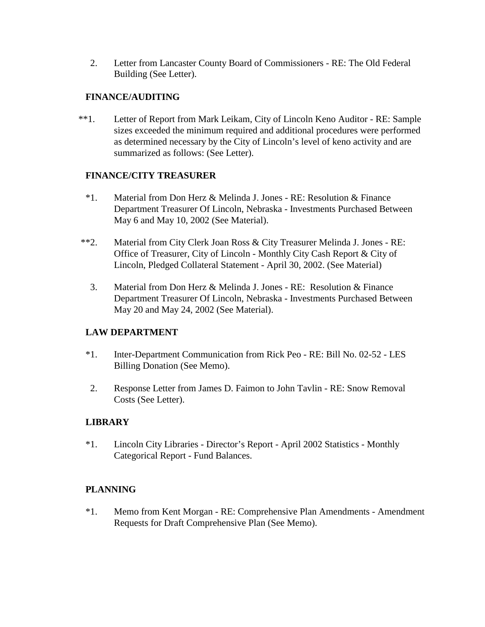2. Letter from Lancaster County Board of Commissioners - RE: The Old Federal Building (See Letter).

# **FINANCE/AUDITING**

\*\*1.Letter of Report from Mark Leikam, City of Lincoln Keno Auditor - RE: Sample sizes exceeded the minimum required and additional procedures were performed as determined necessary by the City of Lincoln's level of keno activity and are summarized as follows: (See Letter).

# **FINANCE/CITY TREASURER**

- \*1. Material from Don Herz & Melinda J. Jones RE: Resolution & Finance Department Treasurer Of Lincoln, Nebraska - Investments Purchased Between May 6 and May 10, 2002 (See Material).
- \*\*2. Material from City Clerk Joan Ross & City Treasurer Melinda J. Jones RE: Office of Treasurer, City of Lincoln - Monthly City Cash Report & City of Lincoln, Pledged Collateral Statement - April 30, 2002. (See Material)
	- 3. Material from Don Herz & Melinda J. Jones RE: Resolution & Finance Department Treasurer Of Lincoln, Nebraska - Investments Purchased Between May 20 and May 24, 2002 (See Material).

# **LAW DEPARTMENT**

- \*1. Inter-Department Communication from Rick Peo RE: Bill No. 02-52 LES Billing Donation (See Memo).
- 2. Response Letter from James D. Faimon to John Tavlin RE: Snow Removal Costs (See Letter).

# **LIBRARY**

\*1. Lincoln City Libraries - Director's Report - April 2002 Statistics - Monthly Categorical Report - Fund Balances.

# **PLANNING**

\*1. Memo from Kent Morgan - RE: Comprehensive Plan Amendments - Amendment Requests for Draft Comprehensive Plan (See Memo).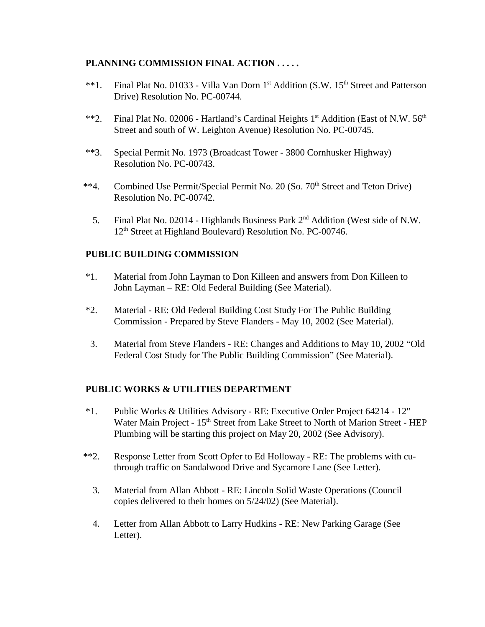# **PLANNING COMMISSION FINAL ACTION . . . . .**

- \*\*1. Final Plat No. 01033 Villa Van Dorn 1<sup>st</sup> Addition (S.W. 15<sup>th</sup> Street and Patterson Drive) Resolution No. PC-00744.
- \*\*2. Final Plat No. 02006 Hartland's Cardinal Heights  $1<sup>st</sup>$  Addition (East of N.W.  $56<sup>th</sup>$ Street and south of W. Leighton Avenue) Resolution No. PC-00745.
- \*\*3. Special Permit No. 1973 (Broadcast Tower 3800 Cornhusker Highway) Resolution No. PC-00743.
- <sup>\*\*</sup>4. Combined Use Permit/Special Permit No. 20 (So. 70<sup>th</sup> Street and Teton Drive) Resolution No. PC-00742.
	- 5. Final Plat No. 02014 Highlands Business Park 2nd Addition (West side of N.W. 12<sup>th</sup> Street at Highland Boulevard) Resolution No. PC-00746.

# **PUBLIC BUILDING COMMISSION**

- \*1. Material from John Layman to Don Killeen and answers from Don Killeen to John Layman – RE: Old Federal Building (See Material).
- \*2. Material RE: Old Federal Building Cost Study For The Public Building Commission - Prepared by Steve Flanders - May 10, 2002 (See Material).
- 3. Material from Steve Flanders RE: Changes and Additions to May 10, 2002 "Old Federal Cost Study for The Public Building Commission" (See Material).

# **PUBLIC WORKS & UTILITIES DEPARTMENT**

- \*1. Public Works & Utilities Advisory RE: Executive Order Project 64214 12" Water Main Project - 15<sup>th</sup> Street from Lake Street to North of Marion Street - HEP Plumbing will be starting this project on May 20, 2002 (See Advisory).
- \*\*2. Response Letter from Scott Opfer to Ed Holloway RE: The problems with cuthrough traffic on Sandalwood Drive and Sycamore Lane (See Letter).
	- 3. Material from Allan Abbott RE: Lincoln Solid Waste Operations (Council copies delivered to their homes on 5/24/02) (See Material).
	- 4. Letter from Allan Abbott to Larry Hudkins RE: New Parking Garage (See Letter).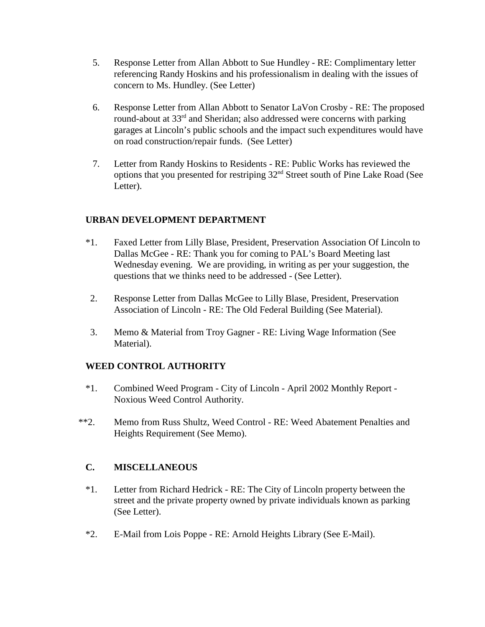- 5. Response Letter from Allan Abbott to Sue Hundley RE: Complimentary letter referencing Randy Hoskins and his professionalism in dealing with the issues of concern to Ms. Hundley. (See Letter)
- 6. Response Letter from Allan Abbott to Senator LaVon Crosby RE: The proposed round-about at 33<sup>rd</sup> and Sheridan; also addressed were concerns with parking garages at Lincoln's public schools and the impact such expenditures would have on road construction/repair funds. (See Letter)
- 7. Letter from Randy Hoskins to Residents RE: Public Works has reviewed the options that you presented for restriping 32nd Street south of Pine Lake Road (See Letter).

# **URBAN DEVELOPMENT DEPARTMENT**

- \*1. Faxed Letter from Lilly Blase, President, Preservation Association Of Lincoln to Dallas McGee - RE: Thank you for coming to PAL's Board Meeting last Wednesday evening. We are providing, in writing as per your suggestion, the questions that we thinks need to be addressed - (See Letter).
- 2. Response Letter from Dallas McGee to Lilly Blase, President, Preservation Association of Lincoln - RE: The Old Federal Building (See Material).
- 3. Memo & Material from Troy Gagner RE: Living Wage Information (See Material).

# **WEED CONTROL AUTHORITY**

- \*1. Combined Weed Program City of Lincoln April 2002 Monthly Report Noxious Weed Control Authority.
- \*\*2. Memo from Russ Shultz, Weed Control RE: Weed Abatement Penalties and Heights Requirement (See Memo).

# **C. MISCELLANEOUS**

- \*1. Letter from Richard Hedrick RE: The City of Lincoln property between the street and the private property owned by private individuals known as parking (See Letter).
- \*2. E-Mail from Lois Poppe RE: Arnold Heights Library (See E-Mail).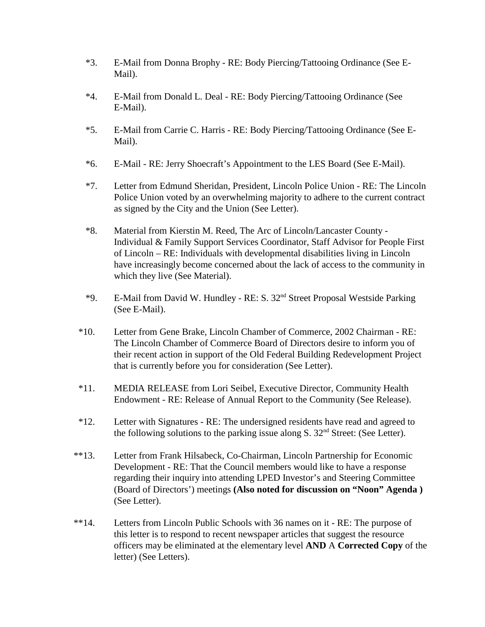- \*3. E-Mail from Donna Brophy RE: Body Piercing/Tattooing Ordinance (See E-Mail).
- \*4. E-Mail from Donald L. Deal RE: Body Piercing/Tattooing Ordinance (See E-Mail).
- \*5. E-Mail from Carrie C. Harris RE: Body Piercing/Tattooing Ordinance (See E-Mail).
- \*6. E-Mail RE: Jerry Shoecraft's Appointment to the LES Board (See E-Mail).
- \*7. Letter from Edmund Sheridan, President, Lincoln Police Union RE: The Lincoln Police Union voted by an overwhelming majority to adhere to the current contract as signed by the City and the Union (See Letter).
- \*8. Material from Kierstin M. Reed, The Arc of Lincoln/Lancaster County Individual & Family Support Services Coordinator, Staff Advisor for People First of Lincoln – RE: Individuals with developmental disabilities living in Lincoln have increasingly become concerned about the lack of access to the community in which they live (See Material).
- \*9. E-Mail from David W. Hundley RE: S. 32nd Street Proposal Westside Parking (See E-Mail).
- \*10. Letter from Gene Brake, Lincoln Chamber of Commerce, 2002 Chairman RE: The Lincoln Chamber of Commerce Board of Directors desire to inform you of their recent action in support of the Old Federal Building Redevelopment Project that is currently before you for consideration (See Letter).
- \*11. MEDIA RELEASE from Lori Seibel, Executive Director, Community Health Endowment - RE: Release of Annual Report to the Community (See Release).
- \*12. Letter with Signatures RE: The undersigned residents have read and agreed to the following solutions to the parking issue along  $S. 32<sup>nd</sup>$  Street: (See Letter).
- \*\*13. Letter from Frank Hilsabeck, Co-Chairman, Lincoln Partnership for Economic Development - RE: That the Council members would like to have a response regarding their inquiry into attending LPED Investor's and Steering Committee (Board of Directors') meetings **(Also noted for discussion on "Noon" Agenda )**  (See Letter).
- \*\*14. Letters from Lincoln Public Schools with 36 names on it RE: The purpose of this letter is to respond to recent newspaper articles that suggest the resource officers may be eliminated at the elementary level **AND** A **Corrected Copy** of the letter) (See Letters).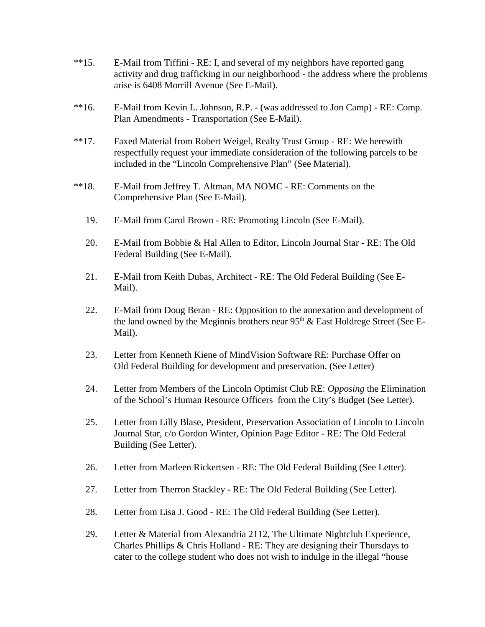- \*\*15. E-Mail from Tiffini RE: I, and several of my neighbors have reported gang activity and drug trafficking in our neighborhood - the address where the problems arise is 6408 Morrill Avenue (See E-Mail).
- \*\*16. E-Mail from Kevin L. Johnson, R.P. (was addressed to Jon Camp) RE: Comp. Plan Amendments - Transportation (See E-Mail).
- \*\*17. Faxed Material from Robert Weigel, Realty Trust Group RE: We herewith respectfully request your immediate consideration of the following parcels to be included in the "Lincoln Comprehensive Plan" (See Material).
- \*\*18. E-Mail from Jeffrey T. Altman, MA NOMC RE: Comments on the Comprehensive Plan (See E-Mail).
	- 19. E-Mail from Carol Brown RE: Promoting Lincoln (See E-Mail).
	- 20. E-Mail from Bobbie & Hal Allen to Editor, Lincoln Journal Star RE: The Old Federal Building (See E-Mail).
	- 21. E-Mail from Keith Dubas, Architect RE: The Old Federal Building (See E-Mail).
	- 22. E-Mail from Doug Beran RE: Opposition to the annexation and development of the land owned by the Meginnis brothers near  $95<sup>th</sup>$  & East Holdrege Street (See E-Mail).
	- 23. Letter from Kenneth Kiene of MindVision Software RE: Purchase Offer on Old Federal Building for development and preservation. (See Letter)
	- 24. Letter from Members of the Lincoln Optimist Club RE: *Opposing* the Elimination of the School's Human Resource Officers from the City's Budget (See Letter).
	- 25. Letter from Lilly Blase, President, Preservation Association of Lincoln to Lincoln Journal Star, c/o Gordon Winter, Opinion Page Editor - RE: The Old Federal Building (See Letter).
	- 26. Letter from Marleen Rickertsen RE: The Old Federal Building (See Letter).
	- 27. Letter from Therron Stackley RE: The Old Federal Building (See Letter).
	- 28. Letter from Lisa J. Good RE: The Old Federal Building (See Letter).
	- 29. Letter & Material from Alexandria 2112, The Ultimate Nightclub Experience, Charles Phillips & Chris Holland - RE: They are designing their Thursdays to cater to the college student who does not wish to indulge in the illegal "house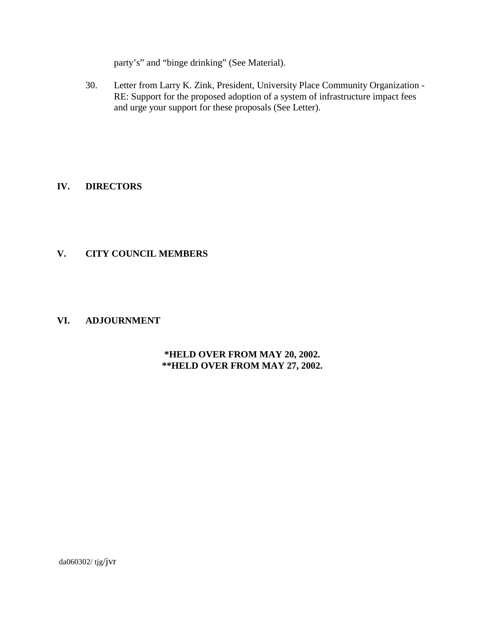party's" and "binge drinking" (See Material).

30. Letter from Larry K. Zink, President, University Place Community Organization - RE: Support for the proposed adoption of a system of infrastructure impact fees and urge your support for these proposals (See Letter).

# **IV. DIRECTORS**

# **V. CITY COUNCIL MEMBERS**

# **VI. ADJOURNMENT**

# **\*HELD OVER FROM MAY 20, 2002. \*\*HELD OVER FROM MAY 27, 2002.**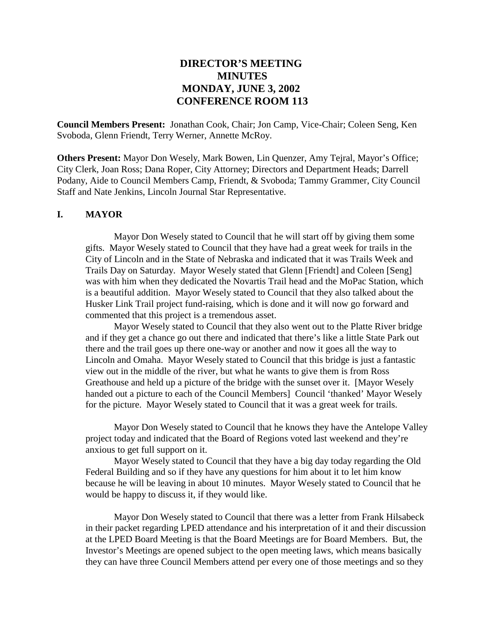# **DIRECTOR'S MEETING MINUTES MONDAY, JUNE 3, 2002 CONFERENCE ROOM 113**

**Council Members Present:** Jonathan Cook, Chair; Jon Camp, Vice-Chair; Coleen Seng, Ken Svoboda, Glenn Friendt, Terry Werner, Annette McRoy.

**Others Present:** Mayor Don Wesely, Mark Bowen, Lin Quenzer, Amy Tejral, Mayor's Office; City Clerk, Joan Ross; Dana Roper, City Attorney; Directors and Department Heads; Darrell Podany, Aide to Council Members Camp, Friendt, & Svoboda; Tammy Grammer, City Council Staff and Nate Jenkins, Lincoln Journal Star Representative.

#### **I. MAYOR**

Mayor Don Wesely stated to Council that he will start off by giving them some gifts. Mayor Wesely stated to Council that they have had a great week for trails in the City of Lincoln and in the State of Nebraska and indicated that it was Trails Week and Trails Day on Saturday. Mayor Wesely stated that Glenn [Friendt] and Coleen [Seng] was with him when they dedicated the Novartis Trail head and the MoPac Station, which is a beautiful addition. Mayor Wesely stated to Council that they also talked about the Husker Link Trail project fund-raising, which is done and it will now go forward and commented that this project is a tremendous asset.

Mayor Wesely stated to Council that they also went out to the Platte River bridge and if they get a chance go out there and indicated that there's like a little State Park out there and the trail goes up there one-way or another and now it goes all the way to Lincoln and Omaha. Mayor Wesely stated to Council that this bridge is just a fantastic view out in the middle of the river, but what he wants to give them is from Ross Greathouse and held up a picture of the bridge with the sunset over it. [Mayor Wesely handed out a picture to each of the Council Members] Council 'thanked' Mayor Wesely for the picture. Mayor Wesely stated to Council that it was a great week for trails.

Mayor Don Wesely stated to Council that he knows they have the Antelope Valley project today and indicated that the Board of Regions voted last weekend and they're anxious to get full support on it.

Mayor Wesely stated to Council that they have a big day today regarding the Old Federal Building and so if they have any questions for him about it to let him know because he will be leaving in about 10 minutes. Mayor Wesely stated to Council that he would be happy to discuss it, if they would like.

Mayor Don Wesely stated to Council that there was a letter from Frank Hilsabeck in their packet regarding LPED attendance and his interpretation of it and their discussion at the LPED Board Meeting is that the Board Meetings are for Board Members. But, the Investor's Meetings are opened subject to the open meeting laws, which means basically they can have three Council Members attend per every one of those meetings and so they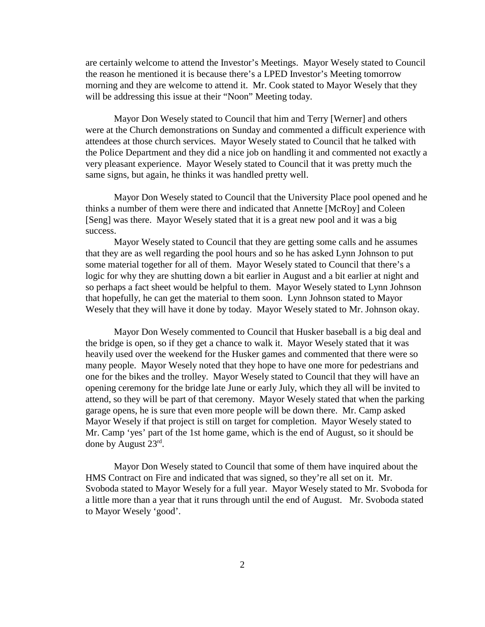are certainly welcome to attend the Investor's Meetings. Mayor Wesely stated to Council the reason he mentioned it is because there's a LPED Investor's Meeting tomorrow morning and they are welcome to attend it. Mr. Cook stated to Mayor Wesely that they will be addressing this issue at their "Noon" Meeting today.

Mayor Don Wesely stated to Council that him and Terry [Werner] and others were at the Church demonstrations on Sunday and commented a difficult experience with attendees at those church services. Mayor Wesely stated to Council that he talked with the Police Department and they did a nice job on handling it and commented not exactly a very pleasant experience. Mayor Wesely stated to Council that it was pretty much the same signs, but again, he thinks it was handled pretty well.

Mayor Don Wesely stated to Council that the University Place pool opened and he thinks a number of them were there and indicated that Annette [McRoy] and Coleen [Seng] was there. Mayor Wesely stated that it is a great new pool and it was a big success.

Mayor Wesely stated to Council that they are getting some calls and he assumes that they are as well regarding the pool hours and so he has asked Lynn Johnson to put some material together for all of them. Mayor Wesely stated to Council that there's a logic for why they are shutting down a bit earlier in August and a bit earlier at night and so perhaps a fact sheet would be helpful to them. Mayor Wesely stated to Lynn Johnson that hopefully, he can get the material to them soon. Lynn Johnson stated to Mayor Wesely that they will have it done by today. Mayor Wesely stated to Mr. Johnson okay.

Mayor Don Wesely commented to Council that Husker baseball is a big deal and the bridge is open, so if they get a chance to walk it. Mayor Wesely stated that it was heavily used over the weekend for the Husker games and commented that there were so many people. Mayor Wesely noted that they hope to have one more for pedestrians and one for the bikes and the trolley. Mayor Wesely stated to Council that they will have an opening ceremony for the bridge late June or early July, which they all will be invited to attend, so they will be part of that ceremony. Mayor Wesely stated that when the parking garage opens, he is sure that even more people will be down there. Mr. Camp asked Mayor Wesely if that project is still on target for completion. Mayor Wesely stated to Mr. Camp 'yes' part of the 1st home game, which is the end of August, so it should be done by August 23rd.

Mayor Don Wesely stated to Council that some of them have inquired about the HMS Contract on Fire and indicated that was signed, so they're all set on it. Mr. Svoboda stated to Mayor Wesely for a full year. Mayor Wesely stated to Mr. Svoboda for a little more than a year that it runs through until the end of August. Mr. Svoboda stated to Mayor Wesely 'good'.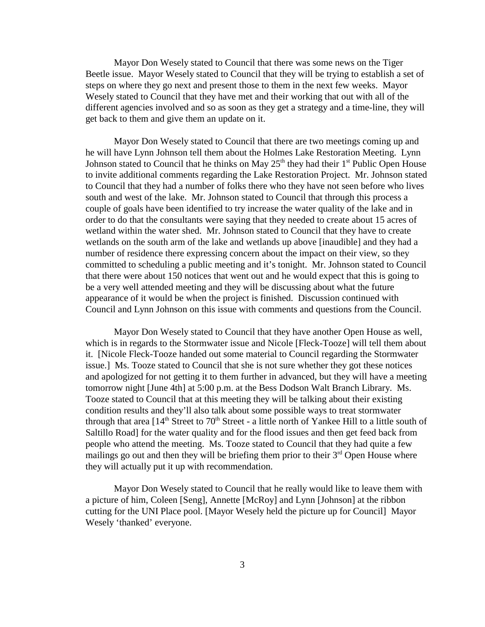Mayor Don Wesely stated to Council that there was some news on the Tiger Beetle issue. Mayor Wesely stated to Council that they will be trying to establish a set of steps on where they go next and present those to them in the next few weeks. Mayor Wesely stated to Council that they have met and their working that out with all of the different agencies involved and so as soon as they get a strategy and a time-line, they will get back to them and give them an update on it.

Mayor Don Wesely stated to Council that there are two meetings coming up and he will have Lynn Johnson tell them about the Holmes Lake Restoration Meeting. Lynn Johnson stated to Council that he thinks on May  $25<sup>th</sup>$  they had their  $1<sup>st</sup>$  Public Open House to invite additional comments regarding the Lake Restoration Project. Mr. Johnson stated to Council that they had a number of folks there who they have not seen before who lives south and west of the lake. Mr. Johnson stated to Council that through this process a couple of goals have been identified to try increase the water quality of the lake and in order to do that the consultants were saying that they needed to create about 15 acres of wetland within the water shed. Mr. Johnson stated to Council that they have to create wetlands on the south arm of the lake and wetlands up above [inaudible] and they had a number of residence there expressing concern about the impact on their view, so they committed to scheduling a public meeting and it's tonight. Mr. Johnson stated to Council that there were about 150 notices that went out and he would expect that this is going to be a very well attended meeting and they will be discussing about what the future appearance of it would be when the project is finished. Discussion continued with Council and Lynn Johnson on this issue with comments and questions from the Council.

Mayor Don Wesely stated to Council that they have another Open House as well, which is in regards to the Stormwater issue and Nicole [Fleck-Tooze] will tell them about it. [Nicole Fleck-Tooze handed out some material to Council regarding the Stormwater issue.] Ms. Tooze stated to Council that she is not sure whether they got these notices and apologized for not getting it to them further in advanced, but they will have a meeting tomorrow night [June 4th] at 5:00 p.m. at the Bess Dodson Walt Branch Library. Ms. Tooze stated to Council that at this meeting they will be talking about their existing condition results and they'll also talk about some possible ways to treat stormwater through that area  $[14<sup>th</sup>$  Street to 70<sup>th</sup> Street - a little north of Yankee Hill to a little south of Saltillo Road] for the water quality and for the flood issues and then get feed back from people who attend the meeting. Ms. Tooze stated to Council that they had quite a few mailings go out and then they will be briefing them prior to their  $3<sup>rd</sup>$  Open House where they will actually put it up with recommendation.

Mayor Don Wesely stated to Council that he really would like to leave them with a picture of him, Coleen [Seng], Annette [McRoy] and Lynn [Johnson] at the ribbon cutting for the UNI Place pool. [Mayor Wesely held the picture up for Council] Mayor Wesely 'thanked' everyone.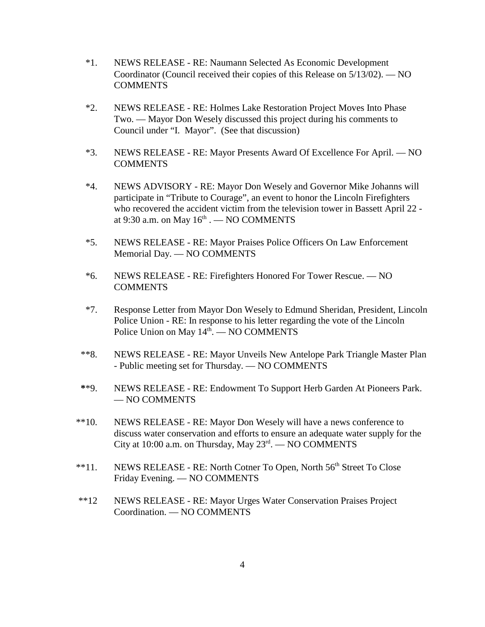- \*1. NEWS RELEASE RE: Naumann Selected As Economic Development Coordinator (Council received their copies of this Release on 5/13/02). — NO **COMMENTS**
- \*2. NEWS RELEASE RE: Holmes Lake Restoration Project Moves Into Phase Two. — Mayor Don Wesely discussed this project during his comments to Council under "I. Mayor". (See that discussion)
- \*3. NEWS RELEASE RE: Mayor Presents Award Of Excellence For April. NO **COMMENTS**
- \*4. NEWS ADVISORY RE: Mayor Don Wesely and Governor Mike Johanns will participate in "Tribute to Courage", an event to honor the Lincoln Firefighters who recovered the accident victim from the television tower in Bassett April 22 at 9:30 a.m. on May  $16<sup>th</sup>$ . — NO COMMENTS
- \*5. NEWS RELEASE RE: Mayor Praises Police Officers On Law Enforcement Memorial Day. — NO COMMENTS
- \*6. NEWS RELEASE RE: Firefighters Honored For Tower Rescue. NO **COMMENTS**
- \*7. Response Letter from Mayor Don Wesely to Edmund Sheridan, President, Lincoln Police Union - RE: In response to his letter regarding the vote of the Lincoln Police Union on May  $14<sup>th</sup>$ .  $-$  NO COMMENTS
- \*\*8. NEWS RELEASE RE: Mayor Unveils New Antelope Park Triangle Master Plan - Public meeting set for Thursday. — NO COMMENTS
- **\***\*9. NEWS RELEASE RE: Endowment To Support Herb Garden At Pioneers Park. — NO COMMENTS
- \*\*10. NEWS RELEASE RE: Mayor Don Wesely will have a news conference to discuss water conservation and efforts to ensure an adequate water supply for the City at 10:00 a.m. on Thursday, May  $23<sup>rd</sup>$ . — NO COMMENTS
- <sup>\*\*</sup>11. NEWS RELEASE RE: North Cotner To Open, North 56<sup>th</sup> Street To Close Friday Evening. — NO COMMENTS
- \*\*12 NEWS RELEASE RE: Mayor Urges Water Conservation Praises Project Coordination. — NO COMMENTS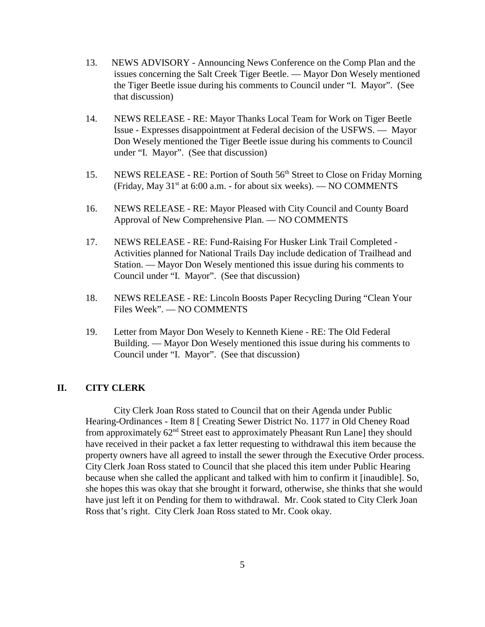- 13. NEWS ADVISORY Announcing News Conference on the Comp Plan and the issues concerning the Salt Creek Tiger Beetle. — Mayor Don Wesely mentioned the Tiger Beetle issue during his comments to Council under "I. Mayor". (See that discussion)
- 14. NEWS RELEASE RE: Mayor Thanks Local Team for Work on Tiger Beetle Issue - Expresses disappointment at Federal decision of the USFWS. — Mayor Don Wesely mentioned the Tiger Beetle issue during his comments to Council under "I. Mayor". (See that discussion)
- 15. NEWS RELEASE RE: Portion of South 56<sup>th</sup> Street to Close on Friday Morning (Friday, May  $31<sup>st</sup>$  at 6:00 a.m. - for about six weeks). — NO COMMENTS
- 16. NEWS RELEASE RE: Mayor Pleased with City Council and County Board Approval of New Comprehensive Plan. — NO COMMENTS
- 17. NEWS RELEASE RE: Fund-Raising For Husker Link Trail Completed Activities planned for National Trails Day include dedication of Trailhead and Station. — Mayor Don Wesely mentioned this issue during his comments to Council under "I. Mayor". (See that discussion)
- 18. NEWS RELEASE RE: Lincoln Boosts Paper Recycling During "Clean Your Files Week". — NO COMMENTS
- 19. Letter from Mayor Don Wesely to Kenneth Kiene RE: The Old Federal Building. — Mayor Don Wesely mentioned this issue during his comments to Council under "I. Mayor". (See that discussion)

# **II. CITY CLERK**

City Clerk Joan Ross stated to Council that on their Agenda under Public Hearing-Ordinances - Item 8 [ Creating Sewer District No. 1177 in Old Cheney Road from approximately 62nd Street east to approximately Pheasant Run Lane] they should have received in their packet a fax letter requesting to withdrawal this item because the property owners have all agreed to install the sewer through the Executive Order process. City Clerk Joan Ross stated to Council that she placed this item under Public Hearing because when she called the applicant and talked with him to confirm it [inaudible]. So, she hopes this was okay that she brought it forward, otherwise, she thinks that she would have just left it on Pending for them to withdrawal. Mr. Cook stated to City Clerk Joan Ross that's right. City Clerk Joan Ross stated to Mr. Cook okay.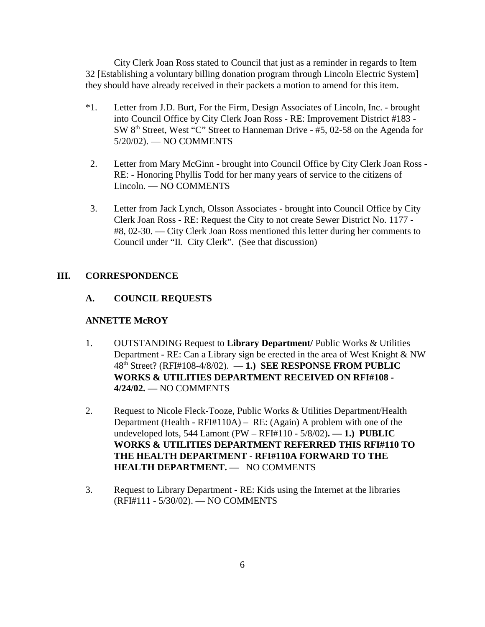City Clerk Joan Ross stated to Council that just as a reminder in regards to Item 32 [Establishing a voluntary billing donation program through Lincoln Electric System] they should have already received in their packets a motion to amend for this item.

- \*1. Letter from J.D. Burt, For the Firm, Design Associates of Lincoln, Inc. brought into Council Office by City Clerk Joan Ross - RE: Improvement District #183 - SW  $8<sup>th</sup>$  Street, West "C" Street to Hanneman Drive -  $\overline{45}$ , 02-58 on the Agenda for 5/20/02). — NO COMMENTS
- 2. Letter from Mary McGinn brought into Council Office by City Clerk Joan Ross RE: - Honoring Phyllis Todd for her many years of service to the citizens of Lincoln. — NO COMMENTS
- 3. Letter from Jack Lynch, Olsson Associates brought into Council Office by City Clerk Joan Ross - RE: Request the City to not create Sewer District No. 1177 - #8, 02-30. — City Clerk Joan Ross mentioned this letter during her comments to Council under "II. City Clerk". (See that discussion)

# **III. CORRESPONDENCE**

# **A. COUNCIL REQUESTS**

# **ANNETTE McROY**

- 1. OUTSTANDING Request to **Library Department/** Public Works & Utilities Department - RE: Can a Library sign be erected in the area of West Knight & NW 48th Street? (RFI#108-4/8/02). — **1.) SEE RESPONSE FROM PUBLIC WORKS & UTILITIES DEPARTMENT RECEIVED ON RFI#108 - 4/24/02. —** NO COMMENTS
- 2. Request to Nicole Fleck-Tooze, Public Works & Utilities Department/Health Department (Health - RFI#110A) – RE: (Again) A problem with one of the undeveloped lots, 544 Lamont (PW – RFI#110 - 5/8/02)**. — 1.) PUBLIC WORKS & UTILITIES DEPARTMENT REFERRED THIS RFI#110 TO THE HEALTH DEPARTMENT - RFI#110A FORWARD TO THE HEALTH DEPARTMENT. —** NO COMMENTS
- 3. Request to Library Department RE: Kids using the Internet at the libraries (RFI#111 - 5/30/02). — NO COMMENTS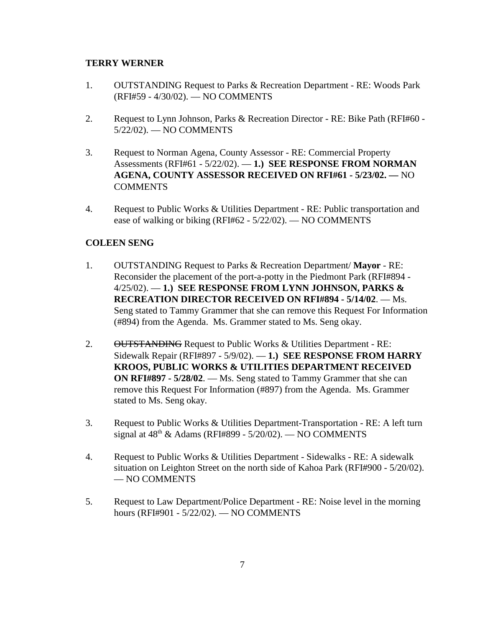## **TERRY WERNER**

- 1. OUTSTANDING Request to Parks & Recreation Department RE: Woods Park (RFI#59 - 4/30/02). — NO COMMENTS
- 2. Request to Lynn Johnson, Parks & Recreation Director RE: Bike Path (RFI#60 5/22/02). — NO COMMENTS
- 3. Request to Norman Agena, County Assessor RE: Commercial Property Assessments (RFI#61 - 5/22/02). — **1.) SEE RESPONSE FROM NORMAN AGENA, COUNTY ASSESSOR RECEIVED ON RFI#61 - 5/23/02. —** NO COMMENTS
- 4. Request to Public Works & Utilities Department RE: Public transportation and ease of walking or biking (RFI#62 - 5/22/02). — NO COMMENTS

# **COLEEN SENG**

- 1. OUTSTANDING Request to Parks & Recreation Department/ **Mayor** RE: Reconsider the placement of the port-a-potty in the Piedmont Park (RFI#894 - 4/25/02). — **1.) SEE RESPONSE FROM LYNN JOHNSON, PARKS & RECREATION DIRECTOR RECEIVED ON RFI#894 - 5/14/02**. — Ms. Seng stated to Tammy Grammer that she can remove this Request For Information (#894) from the Agenda. Ms. Grammer stated to Ms. Seng okay.
- 2. OUTSTANDING Request to Public Works & Utilities Department RE: Sidewalk Repair (RFI#897 - 5/9/02). — **1.) SEE RESPONSE FROM HARRY KROOS, PUBLIC WORKS & UTILITIES DEPARTMENT RECEIVED ON RFI#897 - 5/28/02**. — Ms. Seng stated to Tammy Grammer that she can remove this Request For Information (#897) from the Agenda. Ms. Grammer stated to Ms. Seng okay.
- 3. Request to Public Works & Utilities Department-Transportation RE: A left turn signal at  $48<sup>th</sup>$  & Adams (RFI#899 - 5/20/02). — NO COMMENTS
- 4. Request to Public Works & Utilities Department Sidewalks RE: A sidewalk situation on Leighton Street on the north side of Kahoa Park (RFI#900 - 5/20/02). — NO COMMENTS
- 5. Request to Law Department/Police Department RE: Noise level in the morning hours (RFI#901 - 5/22/02). — NO COMMENTS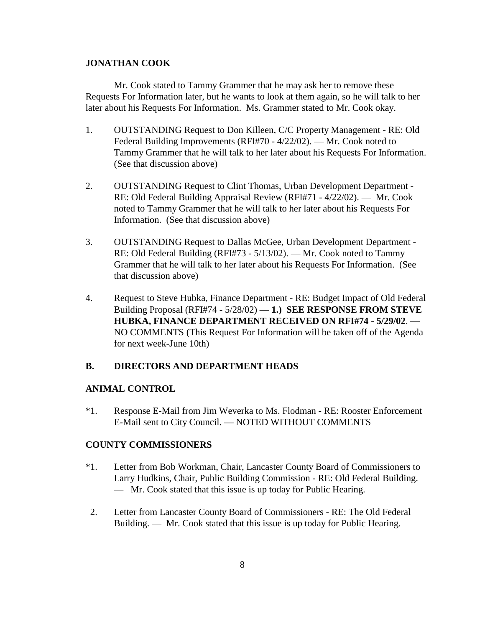#### **JONATHAN COOK**

Mr. Cook stated to Tammy Grammer that he may ask her to remove these Requests For Information later, but he wants to look at them again, so he will talk to her later about his Requests For Information. Ms. Grammer stated to Mr. Cook okay.

- 1. OUTSTANDING Request to Don Killeen, C/C Property Management RE: Old Federal Building Improvements (RFI#70 - 4/22/02). — Mr. Cook noted to Tammy Grammer that he will talk to her later about his Requests For Information. (See that discussion above)
- 2. OUTSTANDING Request to Clint Thomas, Urban Development Department RE: Old Federal Building Appraisal Review (RFI#71 - 4/22/02). — Mr. Cook noted to Tammy Grammer that he will talk to her later about his Requests For Information. (See that discussion above)
- 3. OUTSTANDING Request to Dallas McGee, Urban Development Department RE: Old Federal Building (RFI#73 - 5/13/02). — Mr. Cook noted to Tammy Grammer that he will talk to her later about his Requests For Information. (See that discussion above)
- 4. Request to Steve Hubka, Finance Department RE: Budget Impact of Old Federal Building Proposal (RFI#74 - 5/28/02) — **1.) SEE RESPONSE FROM STEVE HUBKA, FINANCE DEPARTMENT RECEIVED ON RFI#74 - 5/29/02**. — NO COMMENTS (This Request For Information will be taken off of the Agenda for next week-June 10th)

### **B. DIRECTORS AND DEPARTMENT HEADS**

### **ANIMAL CONTROL**

\*1. Response E-Mail from Jim Weverka to Ms. Flodman - RE: Rooster Enforcement E-Mail sent to City Council. — NOTED WITHOUT COMMENTS

# **COUNTY COMMISSIONERS**

- \*1. Letter from Bob Workman, Chair, Lancaster County Board of Commissioners to Larry Hudkins, Chair, Public Building Commission - RE: Old Federal Building. — Mr. Cook stated that this issue is up today for Public Hearing.
- 2. Letter from Lancaster County Board of Commissioners RE: The Old Federal Building. — Mr. Cook stated that this issue is up today for Public Hearing.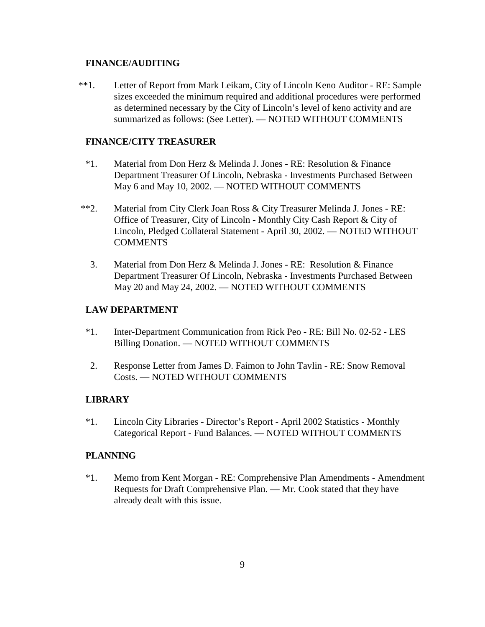# **FINANCE/AUDITING**

\*\*1.Letter of Report from Mark Leikam, City of Lincoln Keno Auditor - RE: Sample sizes exceeded the minimum required and additional procedures were performed as determined necessary by the City of Lincoln's level of keno activity and are summarized as follows: (See Letter). — NOTED WITHOUT COMMENTS

## **FINANCE/CITY TREASURER**

- \*1. Material from Don Herz & Melinda J. Jones RE: Resolution & Finance Department Treasurer Of Lincoln, Nebraska - Investments Purchased Between May 6 and May 10, 2002. — NOTED WITHOUT COMMENTS
- \*\*2. Material from City Clerk Joan Ross & City Treasurer Melinda J. Jones RE: Office of Treasurer, City of Lincoln - Monthly City Cash Report & City of Lincoln, Pledged Collateral Statement - April 30, 2002. — NOTED WITHOUT **COMMENTS** 
	- 3. Material from Don Herz & Melinda J. Jones RE: Resolution & Finance Department Treasurer Of Lincoln, Nebraska - Investments Purchased Between May 20 and May 24, 2002. — NOTED WITHOUT COMMENTS

## **LAW DEPARTMENT**

- \*1. Inter-Department Communication from Rick Peo RE: Bill No. 02-52 LES Billing Donation. — NOTED WITHOUT COMMENTS
- 2. Response Letter from James D. Faimon to John Tavlin RE: Snow Removal Costs. — NOTED WITHOUT COMMENTS

#### **LIBRARY**

\*1. Lincoln City Libraries - Director's Report - April 2002 Statistics - Monthly Categorical Report - Fund Balances. — NOTED WITHOUT COMMENTS

#### **PLANNING**

\*1. Memo from Kent Morgan - RE: Comprehensive Plan Amendments - Amendment Requests for Draft Comprehensive Plan. — Mr. Cook stated that they have already dealt with this issue.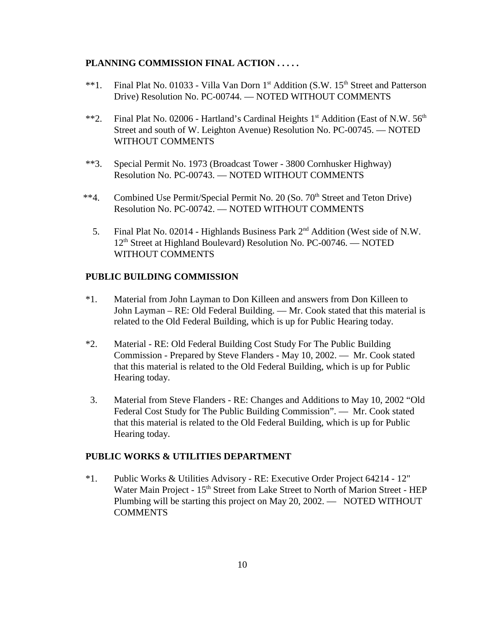# **PLANNING COMMISSION FINAL ACTION . . . . .**

- \*\*1. Final Plat No. 01033 Villa Van Dorn 1<sup>st</sup> Addition (S.W. 15<sup>th</sup> Street and Patterson Drive) Resolution No. PC-00744. — NOTED WITHOUT COMMENTS
- \*\*2. Final Plat No. 02006 Hartland's Cardinal Heights  $1<sup>st</sup>$  Addition (East of N.W.  $56<sup>th</sup>$ Street and south of W. Leighton Avenue) Resolution No. PC-00745. — NOTED WITHOUT COMMENTS
- \*\*3. Special Permit No. 1973 (Broadcast Tower 3800 Cornhusker Highway) Resolution No. PC-00743. — NOTED WITHOUT COMMENTS
- <sup>\*\*4</sup>. Combined Use Permit/Special Permit No. 20 (So. 70<sup>th</sup> Street and Teton Drive) Resolution No. PC-00742. — NOTED WITHOUT COMMENTS
	- 5. Final Plat No. 02014 Highlands Business Park 2nd Addition (West side of N.W. 12<sup>th</sup> Street at Highland Boulevard) Resolution No. PC-00746. — NOTED WITHOUT COMMENTS

### **PUBLIC BUILDING COMMISSION**

- \*1. Material from John Layman to Don Killeen and answers from Don Killeen to John Layman – RE: Old Federal Building. — Mr. Cook stated that this material is related to the Old Federal Building, which is up for Public Hearing today.
- \*2. Material RE: Old Federal Building Cost Study For The Public Building Commission - Prepared by Steve Flanders - May 10, 2002. — Mr. Cook stated that this material is related to the Old Federal Building, which is up for Public Hearing today.
- 3. Material from Steve Flanders RE: Changes and Additions to May 10, 2002 "Old Federal Cost Study for The Public Building Commission". — Mr. Cook stated that this material is related to the Old Federal Building, which is up for Public Hearing today.

#### **PUBLIC WORKS & UTILITIES DEPARTMENT**

\*1. Public Works & Utilities Advisory - RE: Executive Order Project 64214 - 12" Water Main Project - 15<sup>th</sup> Street from Lake Street to North of Marion Street - HEP Plumbing will be starting this project on May 20, 2002. — NOTED WITHOUT COMMENTS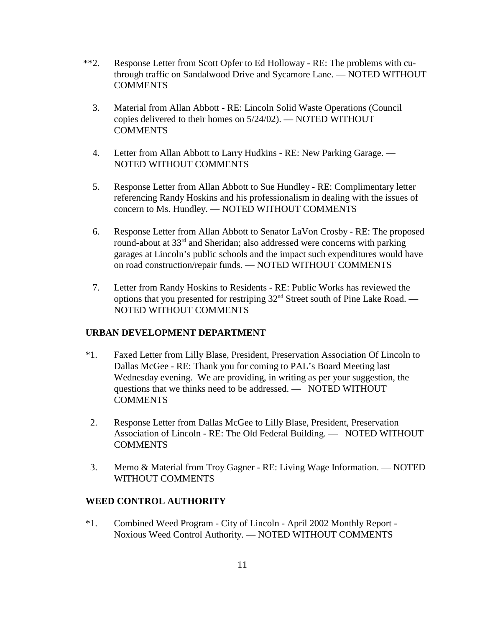- \*\*2. Response Letter from Scott Opfer to Ed Holloway RE: The problems with cuthrough traffic on Sandalwood Drive and Sycamore Lane. — NOTED WITHOUT **COMMENTS** 
	- 3. Material from Allan Abbott RE: Lincoln Solid Waste Operations (Council copies delivered to their homes on 5/24/02). — NOTED WITHOUT **COMMENTS**
	- 4. Letter from Allan Abbott to Larry Hudkins RE: New Parking Garage. NOTED WITHOUT COMMENTS
	- 5. Response Letter from Allan Abbott to Sue Hundley RE: Complimentary letter referencing Randy Hoskins and his professionalism in dealing with the issues of concern to Ms. Hundley. — NOTED WITHOUT COMMENTS
	- 6. Response Letter from Allan Abbott to Senator LaVon Crosby RE: The proposed round-about at 33<sup>rd</sup> and Sheridan; also addressed were concerns with parking garages at Lincoln's public schools and the impact such expenditures would have on road construction/repair funds. — NOTED WITHOUT COMMENTS
	- 7. Letter from Randy Hoskins to Residents RE: Public Works has reviewed the options that you presented for restriping  $32<sup>nd</sup>$  Street south of Pine Lake Road. — NOTED WITHOUT COMMENTS

# **URBAN DEVELOPMENT DEPARTMENT**

- \*1. Faxed Letter from Lilly Blase, President, Preservation Association Of Lincoln to Dallas McGee - RE: Thank you for coming to PAL's Board Meeting last Wednesday evening. We are providing, in writing as per your suggestion, the questions that we thinks need to be addressed. — NOTED WITHOUT COMMENTS
- 2. Response Letter from Dallas McGee to Lilly Blase, President, Preservation Association of Lincoln - RE: The Old Federal Building. — NOTED WITHOUT **COMMENTS**
- 3. Memo & Material from Troy Gagner RE: Living Wage Information. NOTED WITHOUT COMMENTS

# **WEED CONTROL AUTHORITY**

\*1. Combined Weed Program - City of Lincoln - April 2002 Monthly Report - Noxious Weed Control Authority. — NOTED WITHOUT COMMENTS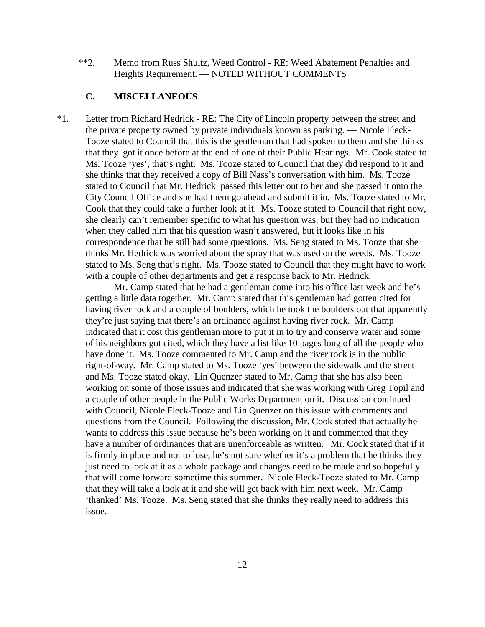\*\*2. Memo from Russ Shultz, Weed Control - RE: Weed Abatement Penalties and Heights Requirement. — NOTED WITHOUT COMMENTS

# **C. MISCELLANEOUS**

\*1. Letter from Richard Hedrick - RE: The City of Lincoln property between the street and the private property owned by private individuals known as parking. — Nicole Fleck-Tooze stated to Council that this is the gentleman that had spoken to them and she thinks that they got it once before at the end of one of their Public Hearings. Mr. Cook stated to Ms. Tooze 'yes', that's right. Ms. Tooze stated to Council that they did respond to it and she thinks that they received a copy of Bill Nass's conversation with him. Ms. Tooze stated to Council that Mr. Hedrick passed this letter out to her and she passed it onto the City Council Office and she had them go ahead and submit it in. Ms. Tooze stated to Mr. Cook that they could take a further look at it. Ms. Tooze stated to Council that right now, she clearly can't remember specific to what his question was, but they had no indication when they called him that his question wasn't answered, but it looks like in his correspondence that he still had some questions. Ms. Seng stated to Ms. Tooze that she thinks Mr. Hedrick was worried about the spray that was used on the weeds. Ms. Tooze stated to Ms. Seng that's right. Ms. Tooze stated to Council that they might have to work with a couple of other departments and get a response back to Mr. Hedrick.

Mr. Camp stated that he had a gentleman come into his office last week and he's getting a little data together. Mr. Camp stated that this gentleman had gotten cited for having river rock and a couple of boulders, which he took the boulders out that apparently they're just saying that there's an ordinance against having river rock. Mr. Camp indicated that it cost this gentleman more to put it in to try and conserve water and some of his neighbors got cited, which they have a list like 10 pages long of all the people who have done it. Ms. Tooze commented to Mr. Camp and the river rock is in the public right-of-way. Mr. Camp stated to Ms. Tooze 'yes' between the sidewalk and the street and Ms. Tooze stated okay. Lin Quenzer stated to Mr. Camp that she has also been working on some of those issues and indicated that she was working with Greg Topil and a couple of other people in the Public Works Department on it. Discussion continued with Council, Nicole Fleck-Tooze and Lin Quenzer on this issue with comments and questions from the Council. Following the discussion, Mr. Cook stated that actually he wants to address this issue because he's been working on it and commented that they have a number of ordinances that are unenforceable as written. Mr. Cook stated that if it is firmly in place and not to lose, he's not sure whether it's a problem that he thinks they just need to look at it as a whole package and changes need to be made and so hopefully that will come forward sometime this summer. Nicole Fleck-Tooze stated to Mr. Camp that they will take a look at it and she will get back with him next week. Mr. Camp 'thanked' Ms. Tooze. Ms. Seng stated that she thinks they really need to address this issue.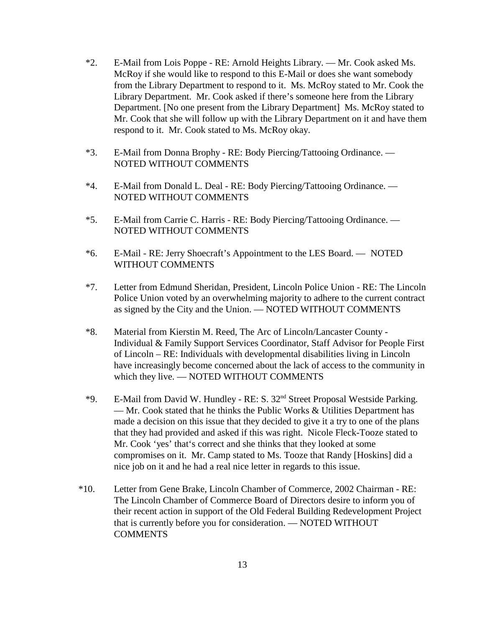- \*2. E-Mail from Lois Poppe RE: Arnold Heights Library. Mr. Cook asked Ms. McRoy if she would like to respond to this E-Mail or does she want somebody from the Library Department to respond to it. Ms. McRoy stated to Mr. Cook the Library Department. Mr. Cook asked if there's someone here from the Library Department. [No one present from the Library Department] Ms. McRoy stated to Mr. Cook that she will follow up with the Library Department on it and have them respond to it. Mr. Cook stated to Ms. McRoy okay.
- \*3. E-Mail from Donna Brophy RE: Body Piercing/Tattooing Ordinance. NOTED WITHOUT COMMENTS
- \*4. E-Mail from Donald L. Deal RE: Body Piercing/Tattooing Ordinance. NOTED WITHOUT COMMENTS
- \*5. E-Mail from Carrie C. Harris RE: Body Piercing/Tattooing Ordinance. NOTED WITHOUT COMMENTS
- \*6. E-Mail RE: Jerry Shoecraft's Appointment to the LES Board. NOTED WITHOUT COMMENTS
- \*7. Letter from Edmund Sheridan, President, Lincoln Police Union RE: The Lincoln Police Union voted by an overwhelming majority to adhere to the current contract as signed by the City and the Union. — NOTED WITHOUT COMMENTS
- \*8. Material from Kierstin M. Reed, The Arc of Lincoln/Lancaster County Individual & Family Support Services Coordinator, Staff Advisor for People First of Lincoln – RE: Individuals with developmental disabilities living in Lincoln have increasingly become concerned about the lack of access to the community in which they live. — NOTED WITHOUT COMMENTS
- \*9. E-Mail from David W. Hundley RE: S. 32nd Street Proposal Westside Parking. — Mr. Cook stated that he thinks the Public Works & Utilities Department has made a decision on this issue that they decided to give it a try to one of the plans that they had provided and asked if this was right. Nicole Fleck-Tooze stated to Mr. Cook 'yes' that's correct and she thinks that they looked at some compromises on it. Mr. Camp stated to Ms. Tooze that Randy [Hoskins] did a nice job on it and he had a real nice letter in regards to this issue.
- \*10. Letter from Gene Brake, Lincoln Chamber of Commerce, 2002 Chairman RE: The Lincoln Chamber of Commerce Board of Directors desire to inform you of their recent action in support of the Old Federal Building Redevelopment Project that is currently before you for consideration. — NOTED WITHOUT COMMENTS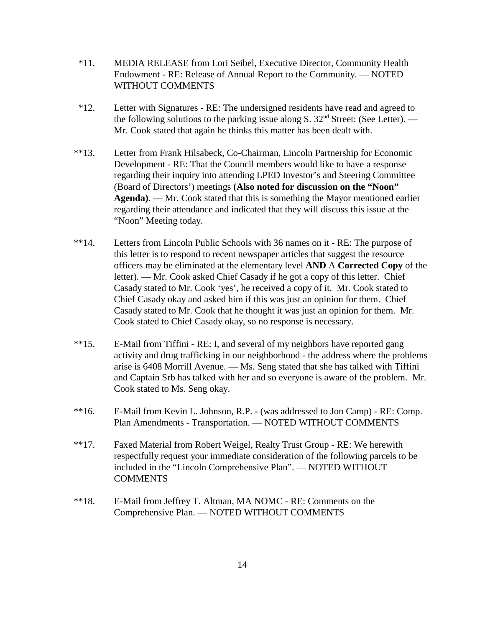- \*11. MEDIA RELEASE from Lori Seibel, Executive Director, Community Health Endowment - RE: Release of Annual Report to the Community. — NOTED WITHOUT COMMENTS
- \*12. Letter with Signatures RE: The undersigned residents have read and agreed to the following solutions to the parking issue along S.  $32<sup>nd</sup>$  Street: (See Letter). — Mr. Cook stated that again he thinks this matter has been dealt with.
- \*\*13. Letter from Frank Hilsabeck, Co-Chairman, Lincoln Partnership for Economic Development - RE: That the Council members would like to have a response regarding their inquiry into attending LPED Investor's and Steering Committee (Board of Directors') meetings **(Also noted for discussion on the "Noon" Agenda)**. — Mr. Cook stated that this is something the Mayor mentioned earlier regarding their attendance and indicated that they will discuss this issue at the "Noon" Meeting today.
- \*\*14. Letters from Lincoln Public Schools with 36 names on it RE: The purpose of this letter is to respond to recent newspaper articles that suggest the resource officers may be eliminated at the elementary level **AND** A **Corrected Copy** of the letter). — Mr. Cook asked Chief Casady if he got a copy of this letter. Chief Casady stated to Mr. Cook 'yes', he received a copy of it. Mr. Cook stated to Chief Casady okay and asked him if this was just an opinion for them. Chief Casady stated to Mr. Cook that he thought it was just an opinion for them. Mr. Cook stated to Chief Casady okay, so no response is necessary.
- \*\*15. E-Mail from Tiffini RE: I, and several of my neighbors have reported gang activity and drug trafficking in our neighborhood - the address where the problems arise is 6408 Morrill Avenue. — Ms. Seng stated that she has talked with Tiffini and Captain Srb has talked with her and so everyone is aware of the problem. Mr. Cook stated to Ms. Seng okay.
- \*\*16. E-Mail from Kevin L. Johnson, R.P. (was addressed to Jon Camp) RE: Comp. Plan Amendments - Transportation. — NOTED WITHOUT COMMENTS
- \*\*17. Faxed Material from Robert Weigel, Realty Trust Group RE: We herewith respectfully request your immediate consideration of the following parcels to be included in the "Lincoln Comprehensive Plan". — NOTED WITHOUT **COMMENTS**
- \*\*18. E-Mail from Jeffrey T. Altman, MA NOMC RE: Comments on the Comprehensive Plan. — NOTED WITHOUT COMMENTS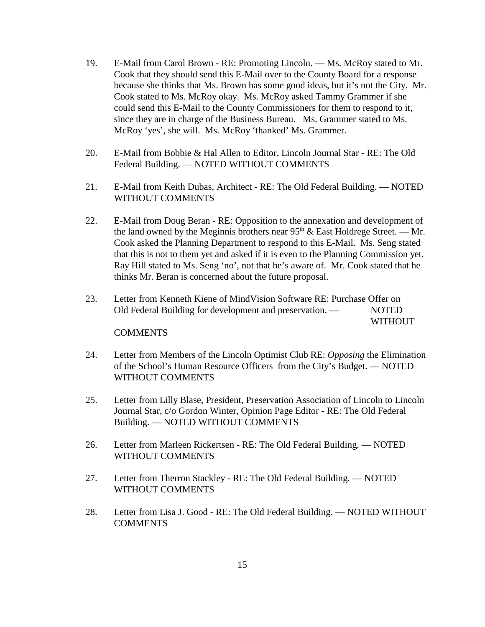- 19. E-Mail from Carol Brown RE: Promoting Lincoln. Ms. McRoy stated to Mr. Cook that they should send this E-Mail over to the County Board for a response because she thinks that Ms. Brown has some good ideas, but it's not the City. Mr. Cook stated to Ms. McRoy okay. Ms. McRoy asked Tammy Grammer if she could send this E-Mail to the County Commissioners for them to respond to it, since they are in charge of the Business Bureau. Ms. Grammer stated to Ms. McRoy 'yes', she will. Ms. McRoy 'thanked' Ms. Grammer.
- 20. E-Mail from Bobbie & Hal Allen to Editor, Lincoln Journal Star RE: The Old Federal Building. — NOTED WITHOUT COMMENTS
- 21. E-Mail from Keith Dubas, Architect RE: The Old Federal Building. NOTED WITHOUT COMMENTS
- 22. E-Mail from Doug Beran RE: Opposition to the annexation and development of the land owned by the Meginnis brothers near  $95<sup>th</sup>$  & East Holdrege Street. — Mr. Cook asked the Planning Department to respond to this E-Mail. Ms. Seng stated that this is not to them yet and asked if it is even to the Planning Commission yet. Ray Hill stated to Ms. Seng 'no', not that he's aware of. Mr. Cook stated that he thinks Mr. Beran is concerned about the future proposal.
- 23. Letter from Kenneth Kiene of MindVision Software RE: Purchase Offer on Old Federal Building for development and preservation. — NOTED

WITHOUT

#### **COMMENTS**

- 24. Letter from Members of the Lincoln Optimist Club RE: *Opposing* the Elimination of the School's Human Resource Officers from the City's Budget. — NOTED WITHOUT COMMENTS
- 25. Letter from Lilly Blase, President, Preservation Association of Lincoln to Lincoln Journal Star, c/o Gordon Winter, Opinion Page Editor - RE: The Old Federal Building. — NOTED WITHOUT COMMENTS
- 26. Letter from Marleen Rickertsen RE: The Old Federal Building. NOTED WITHOUT COMMENTS
- 27. Letter from Therron Stackley RE: The Old Federal Building. NOTED WITHOUT COMMENTS
- 28. Letter from Lisa J. Good RE: The Old Federal Building. NOTED WITHOUT **COMMENTS**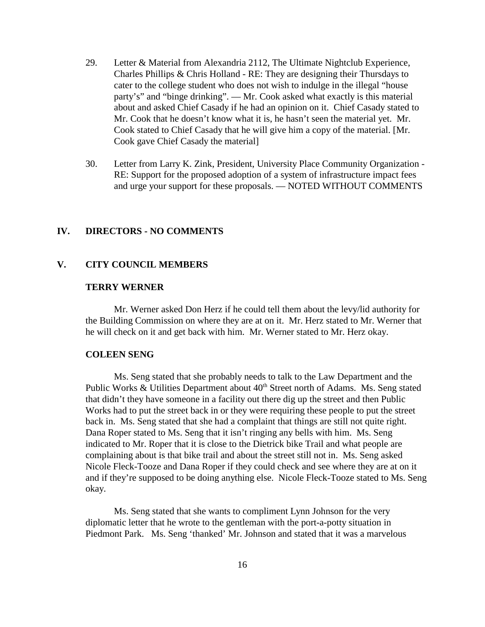- 29. Letter & Material from Alexandria 2112, The Ultimate Nightclub Experience, Charles Phillips & Chris Holland - RE: They are designing their Thursdays to cater to the college student who does not wish to indulge in the illegal "house party's" and "binge drinking". — Mr. Cook asked what exactly is this material about and asked Chief Casady if he had an opinion on it. Chief Casady stated to Mr. Cook that he doesn't know what it is, he hasn't seen the material yet. Mr. Cook stated to Chief Casady that he will give him a copy of the material. [Mr. Cook gave Chief Casady the material]
- 30. Letter from Larry K. Zink, President, University Place Community Organization RE: Support for the proposed adoption of a system of infrastructure impact fees and urge your support for these proposals. — NOTED WITHOUT COMMENTS

# **IV. DIRECTORS - NO COMMENTS**

#### **V. CITY COUNCIL MEMBERS**

# **TERRY WERNER**

Mr. Werner asked Don Herz if he could tell them about the levy/lid authority for the Building Commission on where they are at on it. Mr. Herz stated to Mr. Werner that he will check on it and get back with him. Mr. Werner stated to Mr. Herz okay.

#### **COLEEN SENG**

Ms. Seng stated that she probably needs to talk to the Law Department and the Public Works & Utilities Department about  $40<sup>th</sup>$  Street north of Adams. Ms. Seng stated that didn't they have someone in a facility out there dig up the street and then Public Works had to put the street back in or they were requiring these people to put the street back in. Ms. Seng stated that she had a complaint that things are still not quite right. Dana Roper stated to Ms. Seng that it isn't ringing any bells with him. Ms. Seng indicated to Mr. Roper that it is close to the Dietrick bike Trail and what people are complaining about is that bike trail and about the street still not in. Ms. Seng asked Nicole Fleck-Tooze and Dana Roper if they could check and see where they are at on it and if they're supposed to be doing anything else. Nicole Fleck-Tooze stated to Ms. Seng okay.

Ms. Seng stated that she wants to compliment Lynn Johnson for the very diplomatic letter that he wrote to the gentleman with the port-a-potty situation in Piedmont Park. Ms. Seng 'thanked' Mr. Johnson and stated that it was a marvelous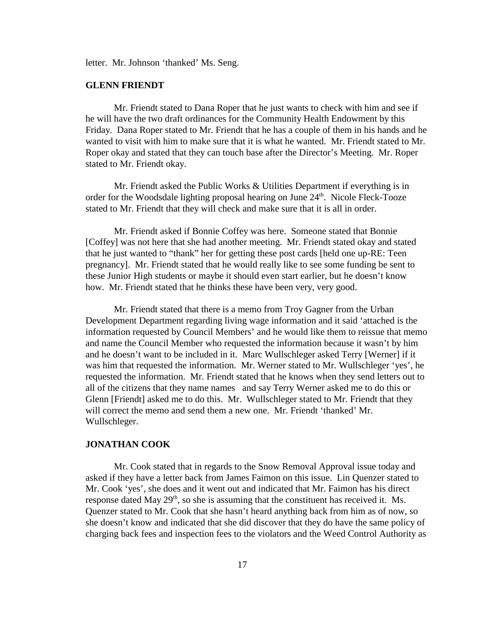letter. Mr. Johnson 'thanked' Ms. Seng.

#### **GLENN FRIENDT**

Mr. Friendt stated to Dana Roper that he just wants to check with him and see if he will have the two draft ordinances for the Community Health Endowment by this Friday. Dana Roper stated to Mr. Friendt that he has a couple of them in his hands and he wanted to visit with him to make sure that it is what he wanted. Mr. Friendt stated to Mr. Roper okay and stated that they can touch base after the Director's Meeting. Mr. Roper stated to Mr. Friendt okay.

Mr. Friendt asked the Public Works & Utilities Department if everything is in order for the Woodsdale lighting proposal hearing on June 24<sup>th</sup>. Nicole Fleck-Tooze stated to Mr. Friendt that they will check and make sure that it is all in order.

Mr. Friendt asked if Bonnie Coffey was here. Someone stated that Bonnie [Coffey] was not here that she had another meeting. Mr. Friendt stated okay and stated that he just wanted to "thank" her for getting these post cards [held one up-RE: Teen pregnancy]. Mr. Friendt stated that he would really like to see some funding be sent to these Junior High students or maybe it should even start earlier, but he doesn't know how. Mr. Friendt stated that he thinks these have been very, very good.

Mr. Friendt stated that there is a memo from Troy Gagner from the Urban Development Department regarding living wage information and it said 'attached is the information requested by Council Members' and he would like them to reissue that memo and name the Council Member who requested the information because it wasn't by him and he doesn't want to be included in it. Marc Wullschleger asked Terry [Werner] if it was him that requested the information. Mr. Werner stated to Mr. Wullschleger 'yes', he requested the information. Mr. Friendt stated that he knows when they send letters out to all of the citizens that they name names and say Terry Werner asked me to do this or Glenn [Friendt] asked me to do this. Mr. Wullschleger stated to Mr. Friendt that they will correct the memo and send them a new one. Mr. Friendt 'thanked' Mr. Wullschleger.

# **JONATHAN COOK**

Mr. Cook stated that in regards to the Snow Removal Approval issue today and asked if they have a letter back from James Faimon on this issue. Lin Quenzer stated to Mr. Cook 'yes', she does and it went out and indicated that Mr. Faimon has his direct response dated May  $29<sup>th</sup>$ , so she is assuming that the constituent has received it. Ms. Quenzer stated to Mr. Cook that she hasn't heard anything back from him as of now, so she doesn't know and indicated that she did discover that they do have the same policy of charging back fees and inspection fees to the violators and the Weed Control Authority as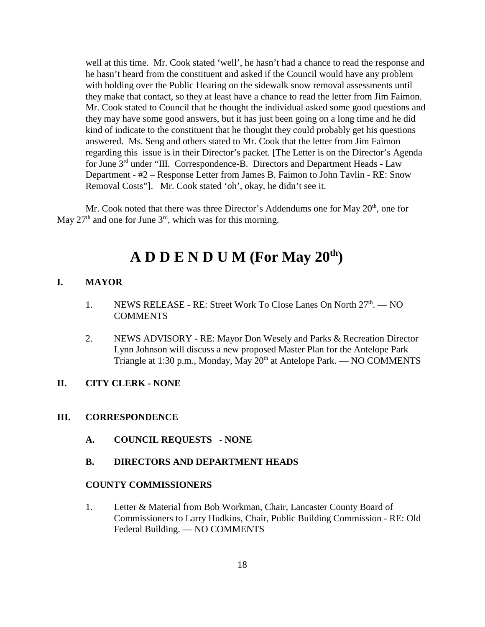well at this time. Mr. Cook stated 'well', he hasn't had a chance to read the response and he hasn't heard from the constituent and asked if the Council would have any problem with holding over the Public Hearing on the sidewalk snow removal assessments until they make that contact, so they at least have a chance to read the letter from Jim Faimon. Mr. Cook stated to Council that he thought the individual asked some good questions and they may have some good answers, but it has just been going on a long time and he did kind of indicate to the constituent that he thought they could probably get his questions answered. Ms. Seng and others stated to Mr. Cook that the letter from Jim Faimon regarding this issue is in their Director's packet. [The Letter is on the Director's Agenda for June 3rd under "III. Correspondence-B. Directors and Department Heads - Law Department - #2 – Response Letter from James B. Faimon to John Tavlin - RE: Snow Removal Costs"]. Mr. Cook stated 'oh', okay, he didn't see it.

Mr. Cook noted that there was three Director's Addendums one for May  $20<sup>th</sup>$ , one for May 27<sup>th</sup> and one for June  $3<sup>rd</sup>$ , which was for this morning.

# **A D D E N D U M (For May 20th)**

#### **I. MAYOR**

- 1. NEWS RELEASE RE: Street Work To Close Lanes On North  $27<sup>th</sup>$ .  $-$  NO **COMMENTS**
- 2. NEWS ADVISORY RE: Mayor Don Wesely and Parks & Recreation Director Lynn Johnson will discuss a new proposed Master Plan for the Antelope Park Triangle at 1:30 p.m., Monday, May  $20<sup>th</sup>$  at Antelope Park. — NO COMMENTS

# **II. CITY CLERK - NONE**

#### **III. CORRESPONDENCE**

**A. COUNCIL REQUESTS - NONE**

#### **B. DIRECTORS AND DEPARTMENT HEADS**

#### **COUNTY COMMISSIONERS**

1. Letter & Material from Bob Workman, Chair, Lancaster County Board of Commissioners to Larry Hudkins, Chair, Public Building Commission - RE: Old Federal Building. — NO COMMENTS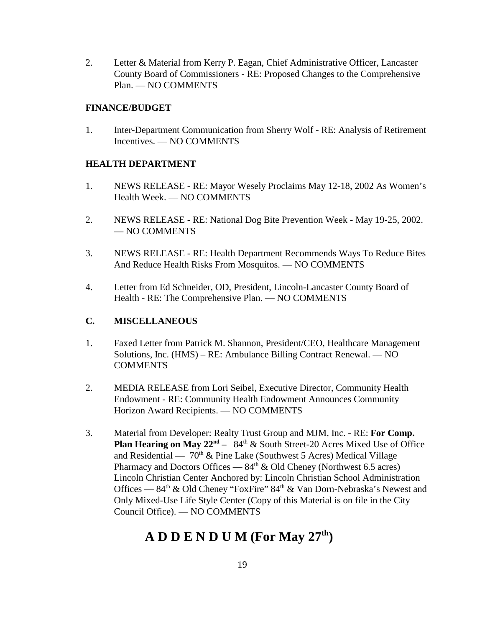2. Letter & Material from Kerry P. Eagan, Chief Administrative Officer, Lancaster County Board of Commissioners - RE: Proposed Changes to the Comprehensive Plan. — NO COMMENTS

# **FINANCE/BUDGET**

1. Inter-Department Communication from Sherry Wolf - RE: Analysis of Retirement Incentives. — NO COMMENTS

# **HEALTH DEPARTMENT**

- 1. NEWS RELEASE RE: Mayor Wesely Proclaims May 12-18, 2002 As Women's Health Week. — NO COMMENTS
- 2. NEWS RELEASE RE: National Dog Bite Prevention Week May 19-25, 2002. — NO COMMENTS
- 3. NEWS RELEASE RE: Health Department Recommends Ways To Reduce Bites And Reduce Health Risks From Mosquitos. — NO COMMENTS
- 4. Letter from Ed Schneider, OD, President, Lincoln-Lancaster County Board of Health - RE: The Comprehensive Plan. — NO COMMENTS

# **C. MISCELLANEOUS**

- 1. Faxed Letter from Patrick M. Shannon, President/CEO, Healthcare Management Solutions, Inc. (HMS) – RE: Ambulance Billing Contract Renewal. — NO **COMMENTS**
- 2. MEDIA RELEASE from Lori Seibel, Executive Director, Community Health Endowment - RE: Community Health Endowment Announces Community Horizon Award Recipients. — NO COMMENTS
- 3. Material from Developer: Realty Trust Group and MJM, Inc. RE: **For Comp. Plan Hearing on May 22<sup>nd</sup>** – 84<sup>th</sup> & South Street-20 Acres Mixed Use of Office and Residential —  $70<sup>th</sup>$  & Pine Lake (Southwest 5 Acres) Medical Village Pharmacy and Doctors Offices —  $84<sup>th</sup>$  & Old Cheney (Northwest 6.5 acres) Lincoln Christian Center Anchored by: Lincoln Christian School Administration Offices —  $84<sup>th</sup>$  & Old Cheney "FoxFire"  $84<sup>th</sup>$  & Van Dorn-Nebraska's Newest and Only Mixed-Use Life Style Center (Copy of this Material is on file in the City Council Office). — NO COMMENTS

# **A D D E N D U M (For May 27th)**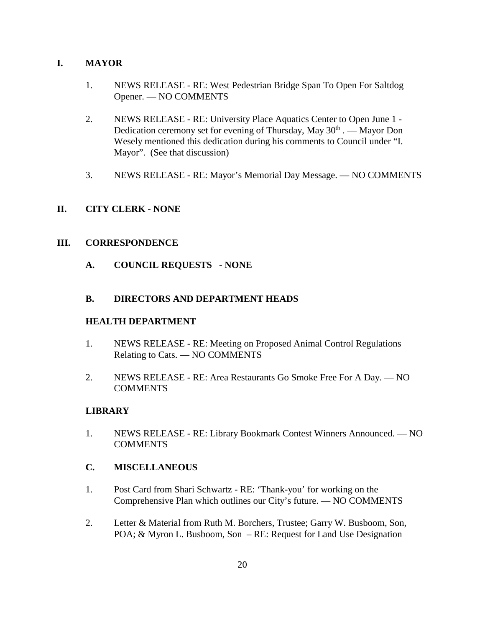# **I. MAYOR**

- 1. NEWS RELEASE RE: West Pedestrian Bridge Span To Open For Saltdog Opener. — NO COMMENTS
- 2. NEWS RELEASE RE: University Place Aquatics Center to Open June 1 Dedication ceremony set for evening of Thursday, May 30<sup>th</sup> . — Mayor Don Wesely mentioned this dedication during his comments to Council under "I. Mayor". (See that discussion)
- 3. NEWS RELEASE RE: Mayor's Memorial Day Message. NO COMMENTS

# **II. CITY CLERK - NONE**

# **III. CORRESPONDENCE**

**A. COUNCIL REQUESTS - NONE**

# **B. DIRECTORS AND DEPARTMENT HEADS**

# **HEALTH DEPARTMENT**

- 1. NEWS RELEASE RE: Meeting on Proposed Animal Control Regulations Relating to Cats. — NO COMMENTS
- 2. NEWS RELEASE RE: Area Restaurants Go Smoke Free For A Day. NO **COMMENTS**

# **LIBRARY**

1. NEWS RELEASE - RE: Library Bookmark Contest Winners Announced. — NO **COMMENTS** 

# **C. MISCELLANEOUS**

- 1. Post Card from Shari Schwartz RE: 'Thank-you' for working on the Comprehensive Plan which outlines our City's future. — NO COMMENTS
- 2. Letter & Material from Ruth M. Borchers, Trustee; Garry W. Busboom, Son, POA; & Myron L. Busboom, Son – RE: Request for Land Use Designation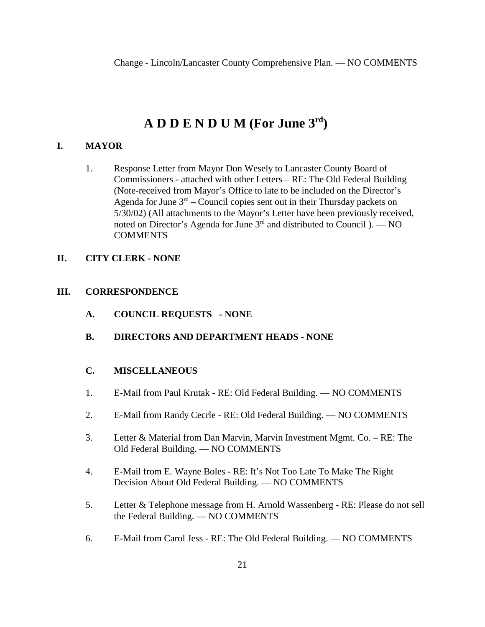# **A D D E N D U M (For June 3rd)**

# **I. MAYOR**

1. Response Letter from Mayor Don Wesely to Lancaster County Board of Commissioners - attached with other Letters – RE: The Old Federal Building (Note-received from Mayor's Office to late to be included on the Director's Agenda for June  $3<sup>rd</sup>$  – Council copies sent out in their Thursday packets on 5/30/02) (All attachments to the Mayor's Letter have been previously received, noted on Director's Agenda for June  $3<sup>rd</sup>$  and distributed to Council ). — NO **COMMENTS** 

# **II. CITY CLERK - NONE**

# **III. CORRESPONDENCE**

- **A. COUNCIL REQUESTS NONE**
- **B. DIRECTORS AND DEPARTMENT HEADS NONE**

# **C. MISCELLANEOUS**

- 1. E-Mail from Paul Krutak RE: Old Federal Building. NO COMMENTS
- 2. E-Mail from Randy Cecrle RE: Old Federal Building. NO COMMENTS
- 3. Letter & Material from Dan Marvin, Marvin Investment Mgmt. Co. RE: The Old Federal Building. — NO COMMENTS
- 4. E-Mail from E. Wayne Boles RE: It's Not Too Late To Make The Right Decision About Old Federal Building. — NO COMMENTS
- 5. Letter & Telephone message from H. Arnold Wassenberg RE: Please do not sell the Federal Building. — NO COMMENTS
- 6. E-Mail from Carol Jess RE: The Old Federal Building. NO COMMENTS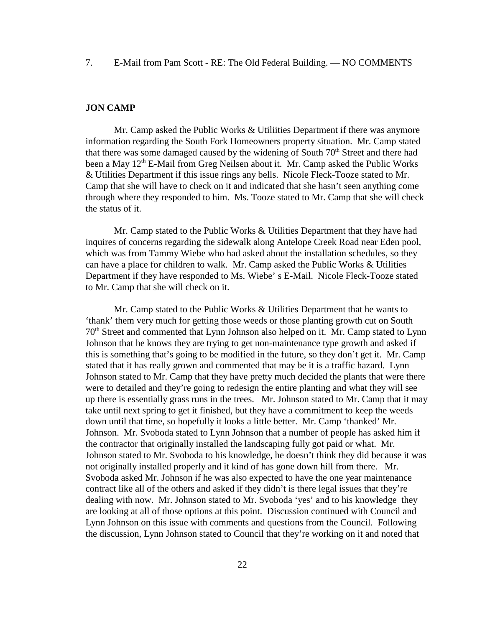7. E-Mail from Pam Scott - RE: The Old Federal Building. — NO COMMENTS

#### **JON CAMP**

Mr. Camp asked the Public Works & Utiliities Department if there was anymore information regarding the South Fork Homeowners property situation. Mr. Camp stated that there was some damaged caused by the widening of South  $70<sup>th</sup>$  Street and there had been a May 12<sup>th</sup> E-Mail from Greg Neilsen about it. Mr. Camp asked the Public Works & Utilities Department if this issue rings any bells. Nicole Fleck-Tooze stated to Mr. Camp that she will have to check on it and indicated that she hasn't seen anything come through where they responded to him. Ms. Tooze stated to Mr. Camp that she will check the status of it.

Mr. Camp stated to the Public Works & Utilities Department that they have had inquires of concerns regarding the sidewalk along Antelope Creek Road near Eden pool, which was from Tammy Wiebe who had asked about the installation schedules, so they can have a place for children to walk. Mr. Camp asked the Public Works & Utilities Department if they have responded to Ms. Wiebe' s E-Mail. Nicole Fleck-Tooze stated to Mr. Camp that she will check on it.

Mr. Camp stated to the Public Works & Utilities Department that he wants to 'thank' them very much for getting those weeds or those planting growth cut on South 70th Street and commented that Lynn Johnson also helped on it. Mr. Camp stated to Lynn Johnson that he knows they are trying to get non-maintenance type growth and asked if this is something that's going to be modified in the future, so they don't get it. Mr. Camp stated that it has really grown and commented that may be it is a traffic hazard. Lynn Johnson stated to Mr. Camp that they have pretty much decided the plants that were there were to detailed and they're going to redesign the entire planting and what they will see up there is essentially grass runs in the trees. Mr. Johnson stated to Mr. Camp that it may take until next spring to get it finished, but they have a commitment to keep the weeds down until that time, so hopefully it looks a little better. Mr. Camp 'thanked' Mr. Johnson. Mr. Svoboda stated to Lynn Johnson that a number of people has asked him if the contractor that originally installed the landscaping fully got paid or what. Mr. Johnson stated to Mr. Svoboda to his knowledge, he doesn't think they did because it was not originally installed properly and it kind of has gone down hill from there. Mr. Svoboda asked Mr. Johnson if he was also expected to have the one year maintenance contract like all of the others and asked if they didn't is there legal issues that they're dealing with now. Mr. Johnson stated to Mr. Svoboda 'yes' and to his knowledge they are looking at all of those options at this point. Discussion continued with Council and Lynn Johnson on this issue with comments and questions from the Council. Following the discussion, Lynn Johnson stated to Council that they're working on it and noted that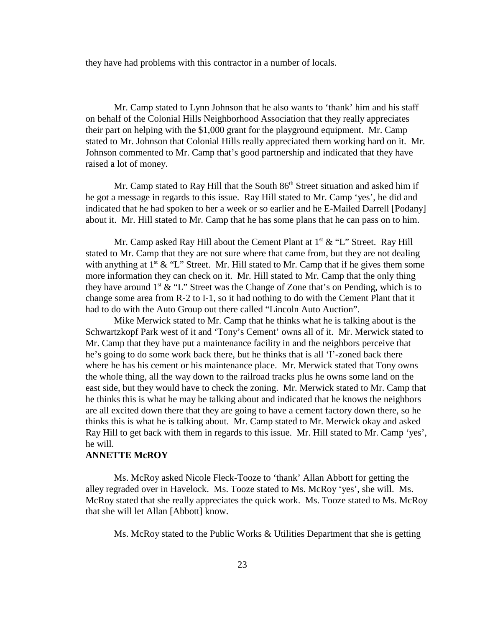they have had problems with this contractor in a number of locals.

Mr. Camp stated to Lynn Johnson that he also wants to 'thank' him and his staff on behalf of the Colonial Hills Neighborhood Association that they really appreciates their part on helping with the \$1,000 grant for the playground equipment. Mr. Camp stated to Mr. Johnson that Colonial Hills really appreciated them working hard on it. Mr. Johnson commented to Mr. Camp that's good partnership and indicated that they have raised a lot of money.

Mr. Camp stated to Ray Hill that the South 86<sup>th</sup> Street situation and asked him if he got a message in regards to this issue. Ray Hill stated to Mr. Camp 'yes', he did and indicated that he had spoken to her a week or so earlier and he E-Mailed Darrell [Podany] about it. Mr. Hill stated to Mr. Camp that he has some plans that he can pass on to him.

Mr. Camp asked Ray Hill about the Cement Plant at  $1<sup>st</sup> \& '`L'`$  Street. Ray Hill stated to Mr. Camp that they are not sure where that came from, but they are not dealing with anything at  $1^{st} \& 'L'$  Street. Mr. Hill stated to Mr. Camp that if he gives them some more information they can check on it. Mr. Hill stated to Mr. Camp that the only thing they have around  $1<sup>st</sup> \& '`L'`$  Street was the Change of Zone that's on Pending, which is to change some area from R-2 to I-1, so it had nothing to do with the Cement Plant that it had to do with the Auto Group out there called "Lincoln Auto Auction".

Mike Merwick stated to Mr. Camp that he thinks what he is talking about is the Schwartzkopf Park west of it and 'Tony's Cement' owns all of it. Mr. Merwick stated to Mr. Camp that they have put a maintenance facility in and the neighbors perceive that he's going to do some work back there, but he thinks that is all 'I'-zoned back there where he has his cement or his maintenance place. Mr. Merwick stated that Tony owns the whole thing, all the way down to the railroad tracks plus he owns some land on the east side, but they would have to check the zoning. Mr. Merwick stated to Mr. Camp that he thinks this is what he may be talking about and indicated that he knows the neighbors are all excited down there that they are going to have a cement factory down there, so he thinks this is what he is talking about. Mr. Camp stated to Mr. Merwick okay and asked Ray Hill to get back with them in regards to this issue. Mr. Hill stated to Mr. Camp 'yes', he will.

# **ANNETTE McROY**

Ms. McRoy asked Nicole Fleck-Tooze to 'thank' Allan Abbott for getting the alley regraded over in Havelock. Ms. Tooze stated to Ms. McRoy 'yes', she will. Ms. McRoy stated that she really appreciates the quick work. Ms. Tooze stated to Ms. McRoy that she will let Allan [Abbott] know.

Ms. McRoy stated to the Public Works & Utilities Department that she is getting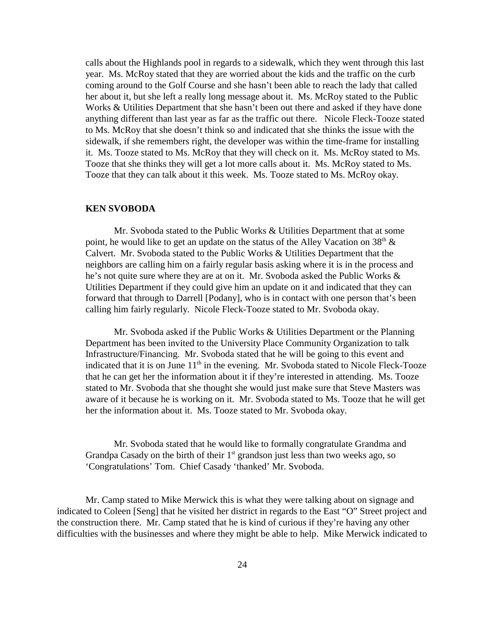calls about the Highlands pool in regards to a sidewalk, which they went through this last year. Ms. McRoy stated that they are worried about the kids and the traffic on the curb coming around to the Golf Course and she hasn't been able to reach the lady that called her about it, but she left a really long message about it. Ms. McRoy stated to the Public Works & Utilities Department that she hasn't been out there and asked if they have done anything different than last year as far as the traffic out there. Nicole Fleck-Tooze stated to Ms. McRoy that she doesn't think so and indicated that she thinks the issue with the sidewalk, if she remembers right, the developer was within the time-frame for installing it. Ms. Tooze stated to Ms. McRoy that they will check on it. Ms. McRoy stated to Ms. Tooze that she thinks they will get a lot more calls about it. Ms. McRoy stated to Ms. Tooze that they can talk about it this week. Ms. Tooze stated to Ms. McRoy okay.

#### **KEN SVOBODA**

Mr. Svoboda stated to the Public Works & Utilities Department that at some point, he would like to get an update on the status of the Alley Vacation on  $38<sup>th</sup>$  & Calvert. Mr. Svoboda stated to the Public Works & Utilities Department that the neighbors are calling him on a fairly regular basis asking where it is in the process and he's not quite sure where they are at on it. Mr. Svoboda asked the Public Works & Utilities Department if they could give him an update on it and indicated that they can forward that through to Darrell [Podany], who is in contact with one person that's been calling him fairly regularly. Nicole Fleck-Tooze stated to Mr. Svoboda okay.

Mr. Svoboda asked if the Public Works & Utilities Department or the Planning Department has been invited to the University Place Community Organization to talk Infrastructure/Financing. Mr. Svoboda stated that he will be going to this event and indicated that it is on June  $11<sup>th</sup>$  in the evening. Mr. Svoboda stated to Nicole Fleck-Tooze that he can get her the information about it if they're interested in attending. Ms. Tooze stated to Mr. Svoboda that she thought she would just make sure that Steve Masters was aware of it because he is working on it. Mr. Svoboda stated to Ms. Tooze that he will get her the information about it. Ms. Tooze stated to Mr. Svoboda okay.

Mr. Svoboda stated that he would like to formally congratulate Grandma and Grandpa Casady on the birth of their  $1<sup>st</sup>$  grandson just less than two weeks ago, so 'Congratulations' Tom. Chief Casady 'thanked' Mr. Svoboda.

Mr. Camp stated to Mike Merwick this is what they were talking about on signage and indicated to Coleen [Seng] that he visited her district in regards to the East "O" Street project and the construction there. Mr. Camp stated that he is kind of curious if they're having any other difficulties with the businesses and where they might be able to help. Mike Merwick indicated to